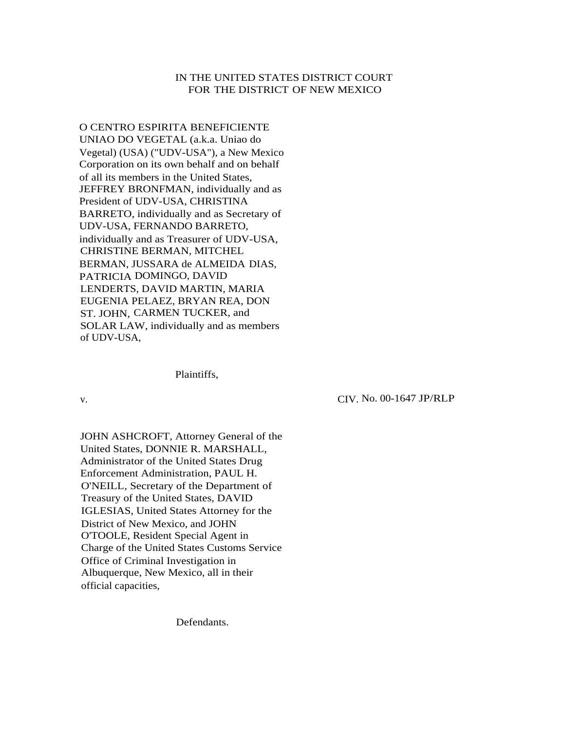# IN THE UNITED STATES DISTRICT COURT FOR THE DISTRICT OF NEW MEXICO

O CENTRO ESPIRITA BENEFICIENTE UNIAO DO VEGETAL (a.k.a. Uniao do Vegetal) (USA) ("UDV-USA"), a New Mexico Corporation on its own behalf and on behalf of all its members in the United States, JEFFREY BRONFMAN, individually and as President of UDV-USA, CHRISTINA BARRETO, individually and as Secretary of UDV-USA, FERNANDO BARRETO, individually and as Treasurer of UDV-USA, CHRISTINE BERMAN, MITCHEL BERMAN, JUSSARA de ALMEIDA DIAS, PATRICIA DOMINGO, DAVID LENDERTS, DAVID MARTIN, MARIA EUGENIA PELAEZ, BRYAN REA, DON ST. JOHN, CARMEN TUCKER, and SOLAR LAW, individually and as members of UDV-USA,

Plaintiffs,

v. CIV. No. 00-1647 JP/RLP

JOHN ASHCROFT, Attorney General of the United States, DONNIE R. MARSHALL, Administrator of the United States Drug Enforcement Administration, PAUL H. O'NEILL, Secretary of the Department of Treasury of the United States, DAVID IGLESIAS, United States Attorney for the District of New Mexico, and JOHN O'TOOLE, Resident Special Agent in Charge of the United States Customs Service Office of Criminal Investigation in Albuquerque, New Mexico, all in their official capacities,

Defendants.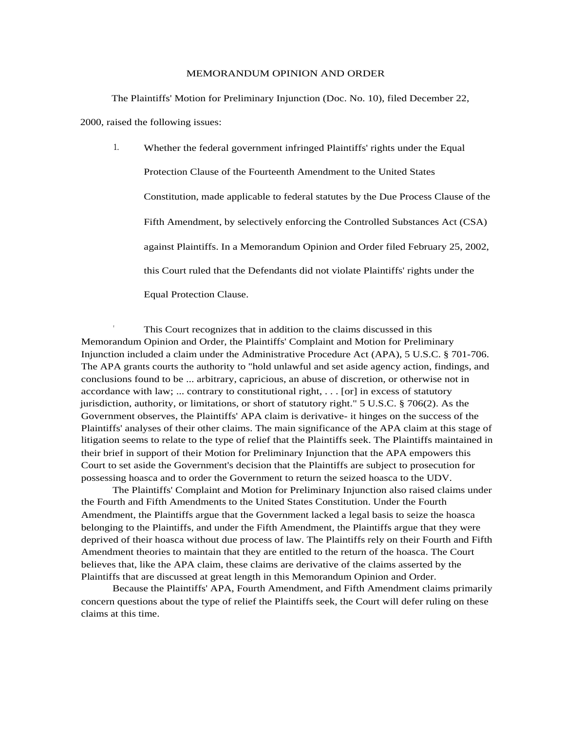#### MEMORANDUM OPINION AND ORDER

The Plaintiffs' Motion for Preliminary Injunction (Doc. No. 10), filed December 22,

2000, raised the following issues:

1. Whether the federal government infringed Plaintiffs' rights under the Equal Protection Clause of the Fourteenth Amendment to the United States Constitution, made applicable to federal statutes by the Due Process Clause of the Fifth Amendment, by selectively enforcing the Controlled Substances Act (CSA) against Plaintiffs. In a Memorandum Opinion and Order filed February 25, 2002, this Court ruled that the Defendants did not violate Plaintiffs' rights under the Equal Protection Clause.

 This Court recognizes that in addition to the claims discussed in this Memorandum Opinion and Order, the Plaintiffs' Complaint and Motion for Preliminary Injunction included a claim under the Administrative Procedure Act (APA), 5 U.S.C. § 701-706. The APA grants courts the authority to "hold unlawful and set aside agency action, findings, and conclusions found to be ... arbitrary, capricious, an abuse of discretion, or otherwise not in accordance with law; ... contrary to constitutional right, . . . [or] in excess of statutory jurisdiction, authority, or limitations, or short of statutory right." 5 U.S.C. § 706(2). As the Government observes, the Plaintiffs' APA claim is derivative- it hinges on the success of the Plaintiffs' analyses of their other claims. The main significance of the APA claim at this stage of litigation seems to relate to the type of relief that the Plaintiffs seek. The Plaintiffs maintained in their brief in support of their Motion for Preliminary Injunction that the APA empowers this Court to set aside the Government's decision that the Plaintiffs are subject to prosecution for possessing hoasca and to order the Government to return the seized hoasca to the UDV.

The Plaintiffs' Complaint and Motion for Preliminary Injunction also raised claims under the Fourth and Fifth Amendments to the United States Constitution. Under the Fourth Amendment, the Plaintiffs argue that the Government lacked a legal basis to seize the hoasca belonging to the Plaintiffs, and under the Fifth Amendment, the Plaintiffs argue that they were deprived of their hoasca without due process of law. The Plaintiffs rely on their Fourth and Fifth Amendment theories to maintain that they are entitled to the return of the hoasca. The Court believes that, like the APA claim, these claims are derivative of the claims asserted by the Plaintiffs that are discussed at great length in this Memorandum Opinion and Order.

Because the Plaintiffs' APA, Fourth Amendment, and Fifth Amendment claims primarily concern questions about the type of relief the Plaintiffs seek, the Court will defer ruling on these claims at this time.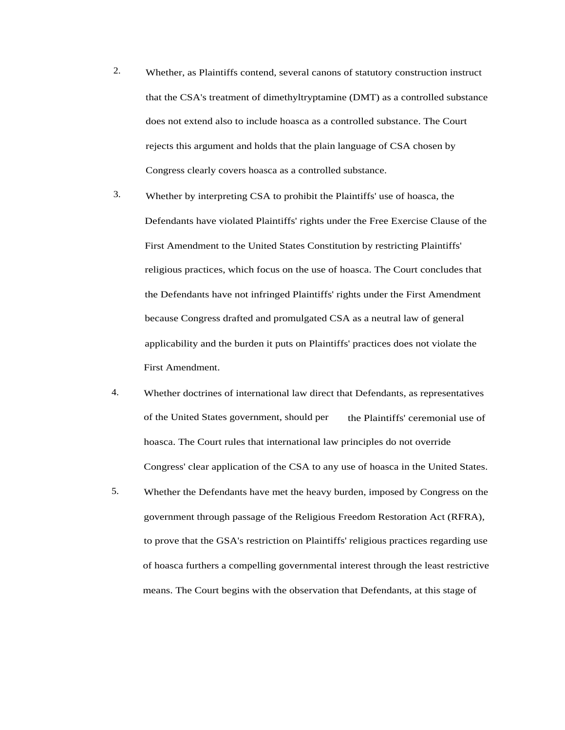- 2. Whether, as Plaintiffs contend, several canons of statutory construction instruct that the CSA's treatment of dimethyltryptamine (DMT) as a controlled substance does not extend also to include hoasca as a controlled substance. The Court rejects this argument and holds that the plain language of CSA chosen by Congress clearly covers hoasca as a controlled substance.
- 3. Whether by interpreting CSA to prohibit the Plaintiffs' use of hoasca, the Defendants have violated Plaintiffs' rights under the Free Exercise Clause of the First Amendment to the United States Constitution by restricting Plaintiffs' religious practices, which focus on the use of hoasca. The Court concludes that the Defendants have not infringed Plaintiffs' rights under the First Amendment because Congress drafted and promulgated CSA as a neutral law of general applicability and the burden it puts on Plaintiffs' practices does not violate the First Amendment.
- 4. Whether doctrines of international law direct that Defendants, as representatives of the United States government, should per hoasca. The Court rules that international law principles do not override Congress' clear application of the CSA to any use of hoasca in the United States. the Plaintiffs' ceremonial use of
- 5. Whether the Defendants have met the heavy burden, imposed by Congress on the government through passage of the Religious Freedom Restoration Act (RFRA), to prove that the GSA's restriction on Plaintiffs' religious practices regarding use of hoasca furthers a compelling governmental interest through the least restrictive means. The Court begins with the observation that Defendants, at this stage of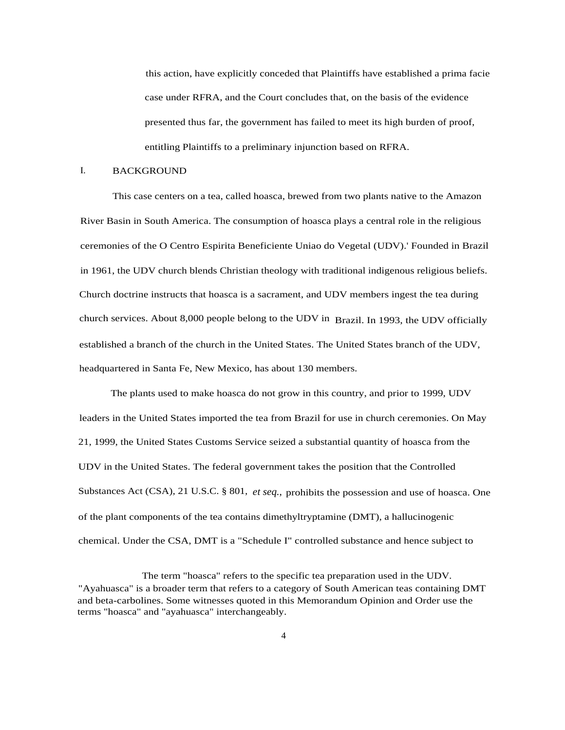this action, have explicitly conceded that Plaintiffs have established a prima facie case under RFRA, and the Court concludes that, on the basis of the evidence presented thus far, the government has failed to meet its high burden of proof, entitling Plaintiffs to a preliminary injunction based on RFRA.

#### I. BACKGROUND

This case centers on a tea, called hoasca, brewed from two plants native to the Amazon River Basin in South America. The consumption of hoasca plays a central role in the religious ceremonies of the O Centro Espirita Beneficiente Uniao do Vegetal (UDV).' Founded in Brazil in 1961, the UDV church blends Christian theology with traditional indigenous religious beliefs. Church doctrine instructs that hoasca is a sacrament, and UDV members ingest the tea during church services. About 8,000 people belong to the UDV in Brazil. In 1993, the UDV officially established a branch of the church in the United States. The United States branch of the UDV, headquartered in Santa Fe, New Mexico, has about 130 members.

The plants used to make hoasca do not grow in this country, and prior to 1999, UDV leaders in the United States imported the tea from Brazil for use in church ceremonies. On May 21, 1999, the United States Customs Service seized a substantial quantity of hoasca from the UDV in the United States. The federal government takes the position that the Controlled Substances Act (CSA), 21 U.S.C. § 801, *et seq.,* prohibits the possession and use of hoasca. One of the plant components of the tea contains dimethyltryptamine (DMT), a hallucinogenic chemical. Under the CSA, DMT is a "Schedule I" controlled substance and hence subject to

The term "hoasca" refers to the specific tea preparation used in the UDV. "Ayahuasca" is a broader term that refers to a category of South American teas containing DMT and beta-carbolines. Some witnesses quoted in this Memorandum Opinion and Order use the terms "hoasca" and "ayahuasca" interchangeably.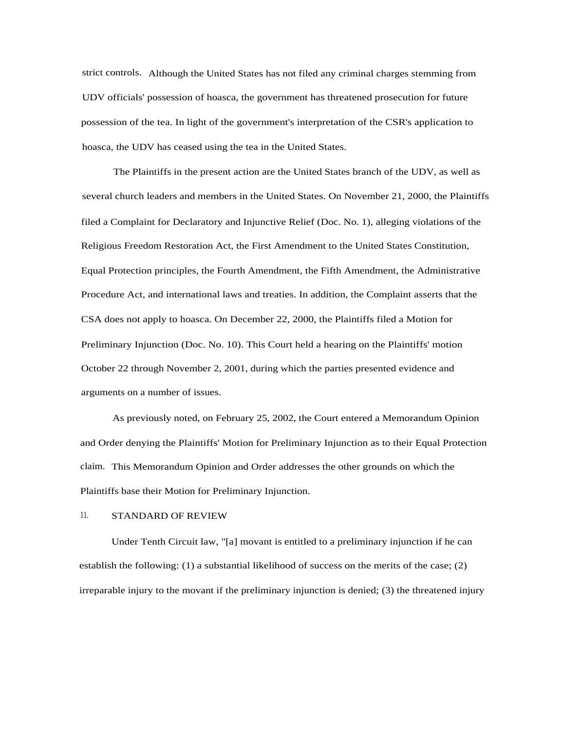strict controls. Although the United States has not filed any criminal charges stemming from UDV officials' possession of hoasca, the government has threatened prosecution for future possession of the tea. In light of the government's interpretation of the CSR's application to hoasca, the UDV has ceased using the tea in the United States.

The Plaintiffs in the present action are the United States branch of the UDV, as well as several church leaders and members in the United States. On November 21, 2000, the Plaintiffs filed a Complaint for Declaratory and Injunctive Relief (Doc. No. 1), alleging violations of the Religious Freedom Restoration Act, the First Amendment to the United States Constitution, Equal Protection principles, the Fourth Amendment, the Fifth Amendment, the Administrative Procedure Act, and international laws and treaties. In addition, the Complaint asserts that the CSA does not apply to hoasca. On December 22, 2000, the Plaintiffs filed a Motion for Preliminary Injunction (Doc. No. 10). This Court held a hearing on the Plaintiffs' motion October 22 through November 2, 2001, during which the parties presented evidence and arguments on a number of issues.

As previously noted, on February 25, 2002, the Court entered a Memorandum Opinion and Order denying the Plaintiffs' Motion for Preliminary Injunction as to their Equal Protection claim. This Memorandum Opinion and Order addresses the other grounds on which the Plaintiffs base their Motion for Preliminary Injunction.

## 11. STANDARD OF REVIEW

Under Tenth Circuit law, "[a] movant is entitled to a preliminary injunction if he can establish the following: (1) a substantial likelihood of success on the merits of the case; (2) irreparable injury to the movant if the preliminary injunction is denied; (3) the threatened injury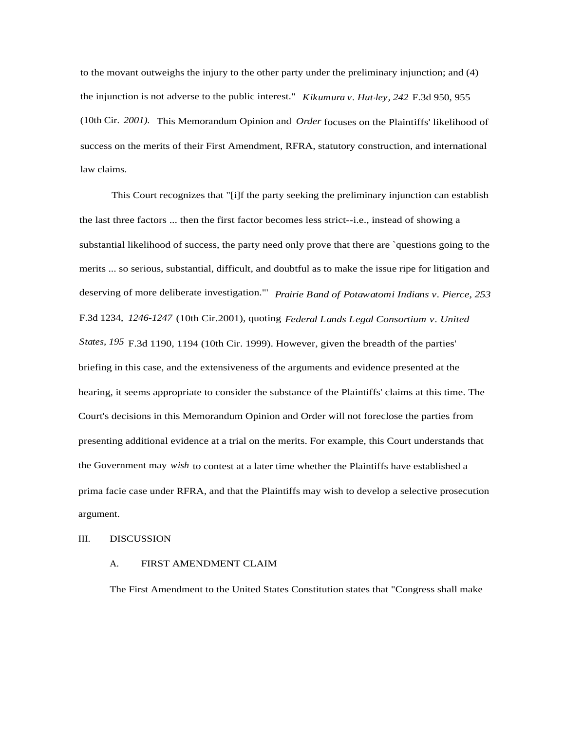to the movant outweighs the injury to the other party under the preliminary injunction; and (4) the injunction is not adverse to the public interest." *Kikumura v. Hut-ley, 242* F.3d 950, 955 (10th Cir. *2001).* This Memorandum Opinion and *Order* focuses on the Plaintiffs' likelihood of success on the merits of their First Amendment, RFRA, statutory construction, and international law claims.

This Court recognizes that "[i]f the party seeking the preliminary injunction can establish the last three factors ... then the first factor becomes less strict--i.e., instead of showing a substantial likelihood of success, the party need only prove that there are `questions going to the merits ... so serious, substantial, difficult, and doubtful as to make the issue ripe for litigation and deserving of more deliberate investigation."' *Prairie Band of Potawatomi Indians v. Pierce, 253* F.3d 1234, *1246-1247* (10th Cir.2001), quoting *Federal Lands Legal Consortium v. United States, 195* F.3d 1190, 1194 (10th Cir. 1999). However, given the breadth of the parties' briefing in this case, and the extensiveness of the arguments and evidence presented at the hearing, it seems appropriate to consider the substance of the Plaintiffs' claims at this time. The Court's decisions in this Memorandum Opinion and Order will not foreclose the parties from presenting additional evidence at a trial on the merits. For example, this Court understands that the Government may *wish* to contest at a later time whether the Plaintiffs have established a prima facie case under RFRA, and that the Plaintiffs may wish to develop a selective prosecution argument.

#### III. DISCUSSION

## A. FIRST AMENDMENT CLAIM

The First Amendment to the United States Constitution states that "Congress shall make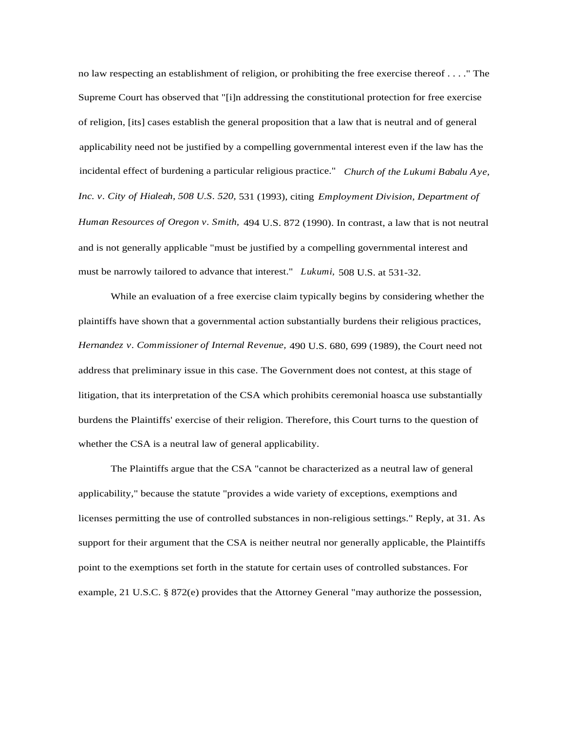no law respecting an establishment of religion, or prohibiting the free exercise thereof . . . ." The Supreme Court has observed that "[i]n addressing the constitutional protection for free exercise of religion, [its] cases establish the general proposition that a law that is neutral and of general applicability need not be justified by a compelling governmental interest even if the law has the incidental effect of burdening a particular religious practice." *Church of the Lukumi Babalu Aye, Inc. v. City of Hialeah, 508 U.S. 520,* 531 (1993), citing *Employment Division, Department of Human Resources of Oregon v. Smith,* 494 U.S. 872 (1990). In contrast, a law that is not neutral and is not generally applicable "must be justified by a compelling governmental interest and must be narrowly tailored to advance that interest." *Lukumi,* 508 U.S. at 531-32.

While an evaluation of a free exercise claim typically begins by considering whether the plaintiffs have shown that a governmental action substantially burdens their religious practices, *Hernandez v. Commissioner of Internal Revenue,* 490 U.S. 680, 699 (1989), the Court need not address that preliminary issue in this case. The Government does not contest, at this stage of litigation, that its interpretation of the CSA which prohibits ceremonial hoasca use substantially burdens the Plaintiffs' exercise of their religion. Therefore, this Court turns to the question of whether the CSA is a neutral law of general applicability.

The Plaintiffs argue that the CSA "cannot be characterized as a neutral law of general applicability," because the statute "provides a wide variety of exceptions, exemptions and licenses permitting the use of controlled substances in non-religious settings." Reply, at 31. As support for their argument that the CSA is neither neutral nor generally applicable, the Plaintiffs point to the exemptions set forth in the statute for certain uses of controlled substances. For example, 21 U.S.C. § 872(e) provides that the Attorney General "may authorize the possession,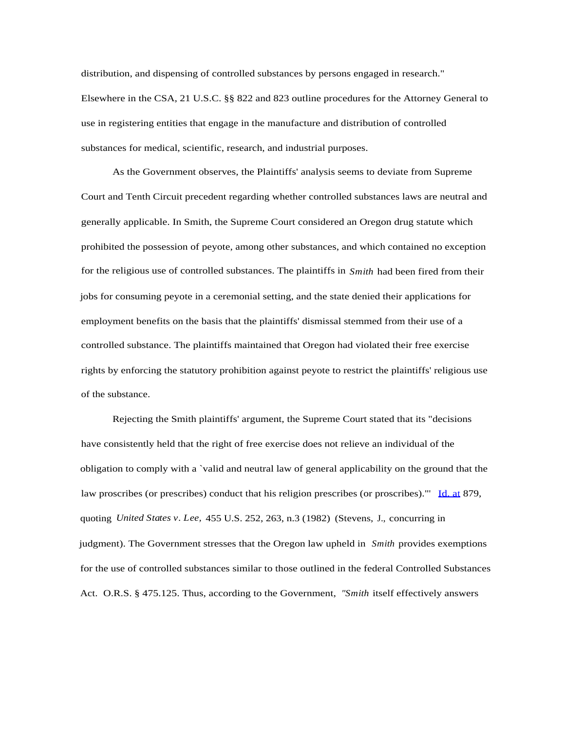distribution, and dispensing of controlled substances by persons engaged in research." Elsewhere in the CSA, 21 U.S.C. §§ 822 and 823 outline procedures for the Attorney General to use in registering entities that engage in the manufacture and distribution of controlled substances for medical, scientific, research, and industrial purposes.

As the Government observes, the Plaintiffs' analysis seems to deviate from Supreme Court and Tenth Circuit precedent regarding whether controlled substances laws are neutral and generally applicable. In Smith, the Supreme Court considered an Oregon drug statute which prohibited the possession of peyote, among other substances, and which contained no exception for the religious use of controlled substances. The plaintiffs in *Smith* had been fired from their jobs for consuming peyote in a ceremonial setting, and the state denied their applications for employment benefits on the basis that the plaintiffs' dismissal stemmed from their use of a controlled substance. The plaintiffs maintained that Oregon had violated their free exercise rights by enforcing the statutory prohibition against peyote to restrict the plaintiffs' religious use of the substance.

Rejecting the Smith plaintiffs' argument, the Supreme Court stated that its "decisions have consistently held that the right of free exercise does not relieve an individual of the obligation to comply with a `valid and neutral law of general applicability on the ground that the law proscribes (or prescribes) conduct that his religion prescribes (or proscribes)."' [Id. at](http://Id.at) 879, quoting *United States v. Lee,* 455 U.S. 252, 263, n.3 (1982) (Stevens, J., concurring in judgment). The Government stresses that the Oregon law upheld in *Smith* provides exemptions for the use of controlled substances similar to those outlined in the federal Controlled Substances Act. O.R.S. § 475.125. Thus, according to the Government, *"Smith* itself effectively answers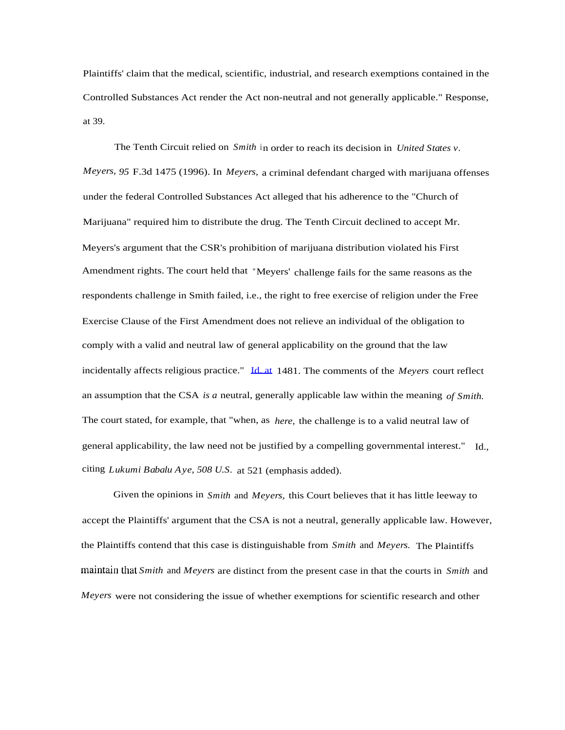Plaintiffs' claim that the medical, scientific, industrial, and research exemptions contained in the Controlled Substances Act render the Act non-neutral and not generally applicable." Response, at 39.

The Tenth Circuit relied on *Smith* in order to reach its decision in *United States v. Meyers, 95* F.3d 1475 (1996). In *Meyers,* a criminal defendant charged with marijuana offenses under the federal Controlled Substances Act alleged that his adherence to the "Church of Marijuana" required him to distribute the drug. The Tenth Circuit declined to accept Mr. Meyers's argument that the CSR's prohibition of marijuana distribution violated his First Amendment rights. The court held that "Meyers' challenge fails for the same reasons as the respondents challenge in Smith failed, i.e., the right to free exercise of religion under the Free Exercise Clause of the First Amendment does not relieve an individual of the obligation to comply with a valid and neutral law of general applicability on the ground that the law incidentally affects religious practice." [Id. at](http://Id.at) 1481. The comments of the *Meyers* court reflect an assumption that the CSA *is a* neutral, generally applicable law within the meaning *of Smith.* The court stated, for example, that "when, as *here,* the challenge is to a valid neutral law of general applicability, the law need not be justified by a compelling governmental interest." Id., citing *Lukumi Babalu Aye, 508 U.S.* at 521 (emphasis added).

Given the opinions in *Smith* and *Meyers,* this Court believes that it has little leeway to accept the Plaintiffs' argument that the CSA is not a neutral, generally applicable law. However, the Plaintiffs contend that this case is distinguishable from *Smith* and *Meyers.* The Plaintiffs maintain that *Smith* and *Meyers* are distinct from the present case in that the courts in *Smith* and *Meyers* were not considering the issue of whether exemptions for scientific research and other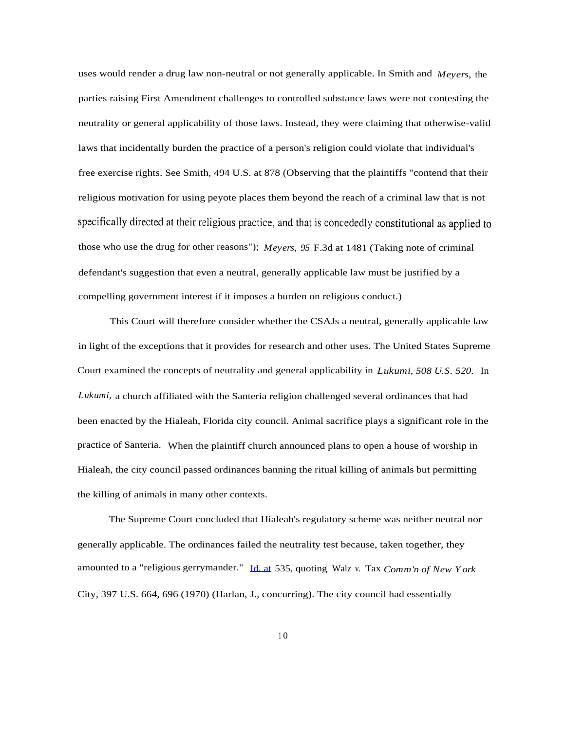uses would render a drug law non-neutral or not generally applicable. In Smith and *Meyers,* the parties raising First Amendment challenges to controlled substance laws were not contesting the neutrality or general applicability of those laws. Instead, they were claiming that otherwise-valid laws that incidentally burden the practice of a person's religion could violate that individual's free exercise rights. See Smith, 494 U.S. at 878 (Observing that the plaintiffs "contend that their religious motivation for using peyote places them beyond the reach of a criminal law that is not specifically directed at their religious practice, and that is concededly constitutional as applied to those who use the drug for other reasons"); *Meyers, 95* F.3d at 1481 (Taking note of criminal defendant's suggestion that even a neutral, generally applicable law must be justified by a compelling government interest if it imposes a burden on religious conduct.)

This Court will therefore consider whether the CSAJs a neutral, generally applicable law in light of the exceptions that it provides for research and other uses. The United States Supreme Court examined the concepts of neutrality and general applicability in *Lukumi, 508 U.S. 520.* In *Lukumi,* a church affiliated with the Santeria religion challenged several ordinances that had been enacted by the Hialeah, Florida city council. Animal sacrifice plays a significant role in the practice of Santeria. When the plaintiff church announced plans to open a house of worship in Hialeah, the city council passed ordinances banning the ritual killing of animals but permitting the killing of animals in many other contexts.

The Supreme Court concluded that Hialeah's regulatory scheme was neither neutral nor generally applicable. The ordinances failed the neutrality test because, taken together, they amounted to a "religious gerrymander." [Id. at](http://Id.at) 535, quoting Walz v. Tax *Comm'n of New York* City, 397 U.S. 664, 696 (1970) (Harlan, J., concurring). The city council had essentially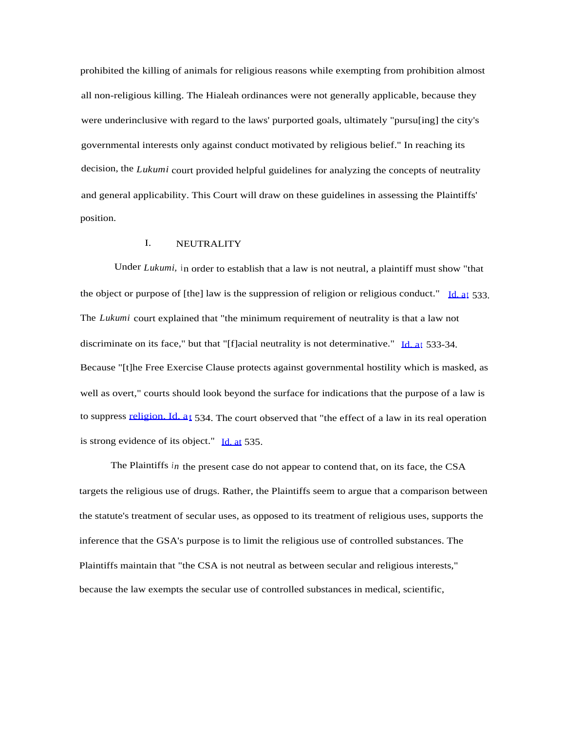prohibited the killing of animals for religious reasons while exempting from prohibition almost all non-religious killing. The Hialeah ordinances were not generally applicable, because they were underinclusive with regard to the laws' purported goals, ultimately "pursu[ing] the city's governmental interests only against conduct motivated by religious belief." In reaching its decision, the *Lukumi* court provided helpful guidelines for analyzing the concepts of neutrality and general applicability. This Court will draw on these guidelines in assessing the Plaintiffs' position.

# I. NEUTRALITY

Under *Lukumi,* in order to establish that a law is not neutral, a plaintiff must show "that the object or purpose of [the] law is the suppression of religion or religious conduct."  $\text{Id}$ , at 533. The *Lukumi* court explained that "the minimum requirement of neutrality is that a law not discriminate on its face," but that "[f]acial neutrality is not determinative." [Id. at](http://Id.at) 533-34. Because "[t]he Free Exercise Clause protects against governmental hostility which is masked, as well as overt," courts should look beyond the surface for indications that the purpose of a law is to suppress [religion. Id. at](http://religion.Id.at) 534. The court observed that "the effect of a law in its real operation is strong evidence of its object." [Id. at](http://Id.at) 535.

The Plaintiffs *in* the present case do not appear to contend that, on its face, the CSA targets the religious use of drugs. Rather, the Plaintiffs seem to argue that a comparison between the statute's treatment of secular uses, as opposed to its treatment of religious uses, supports the inference that the GSA's purpose is to limit the religious use of controlled substances. The Plaintiffs maintain that "the CSA is not neutral as between secular and religious interests," because the law exempts the secular use of controlled substances in medical, scientific,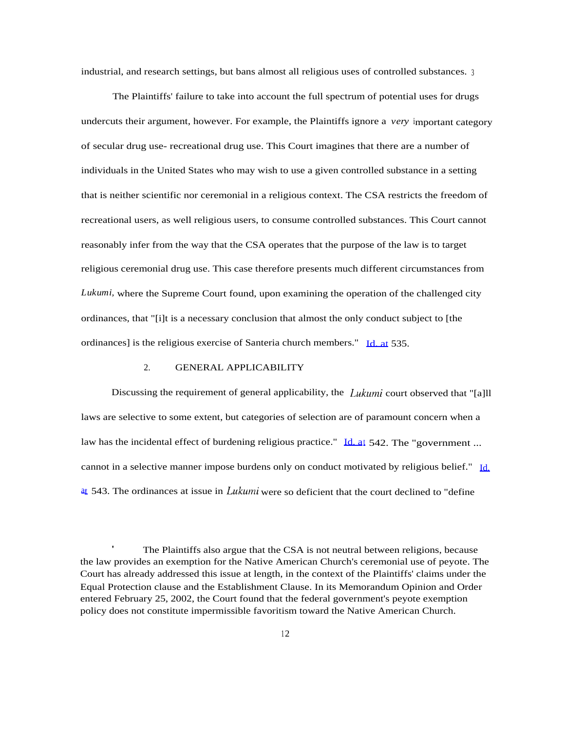industrial, and research settings, but bans almost all religious uses of controlled substances. <sup>3</sup>

The Plaintiffs' failure to take into account the full spectrum of potential uses for drugs undercuts their argument, however. For example, the Plaintiffs ignore a *very* important category of secular drug use- recreational drug use. This Court imagines that there are a number of individuals in the United States who may wish to use a given controlled substance in a setting that is neither scientific nor ceremonial in a religious context. The CSA restricts the freedom of recreational users, as well religious users, to consume controlled substances. This Court cannot reasonably infer from the way that the CSA operates that the purpose of the law is to target religious ceremonial drug use. This case therefore presents much different circumstances from *Lukumi,* where the Supreme Court found, upon examining the operation of the challenged city ordinances, that "[i]t is a necessary conclusion that almost the only conduct subject to [the ordinances] is the religious exercise of Santeria church members." [Id. at](http://Id.at) 535.

#### 2. GENERAL APPLICABILITY

Discussing the requirement of general applicability, the *Lukumi* court observed that "[a]ll laws are selective to some extent, but categories of selection are of paramount concern when a law has the incidental effect of burdening religious practice." [Id. at](http://Id.at) 542. The "government ... cannot in a selective manner impose burdens only on conduct motivated by religious belief." [Id.](http://Id.at) [at](http://Id.at) 543. The ordinances at issue in *Lukumi* were so deficient that the court declined to "define"

 The Plaintiffs also argue that the CSA is not neutral between religions, because the law provides an exemption for the Native American Church's ceremonial use of peyote. The Court has already addressed this issue at length, in the context of the Plaintiffs' claims under the Equal Protection clause and the Establishment Clause. In its Memorandum Opinion and Order entered February 25, 2002, the Court found that the federal government's peyote exemption policy does not constitute impermissible favoritism toward the Native American Church.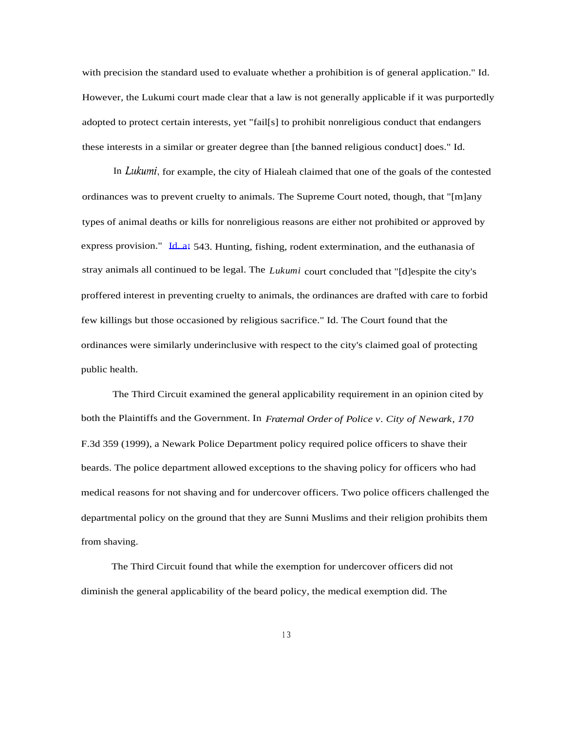with precision the standard used to evaluate whether a prohibition is of general application." Id. However, the Lukumi court made clear that a law is not generally applicable if it was purportedly adopted to protect certain interests, yet "fail[s] to prohibit nonreligious conduct that endangers these interests in a similar or greater degree than [the banned religious conduct] does." Id.

In *Lukumi,* for example, the city of Hialeah claimed that one of the goals of the contested ordinances was to prevent cruelty to animals. The Supreme Court noted, though, that "[m]any types of animal deaths or kills for nonreligious reasons are either not prohibited or approved by express provision." [Id. at](http://Id.at) 543. Hunting, fishing, rodent extermination, and the euthanasia of stray animals all continued to be legal. The *Lukumi* court concluded that "[d]espite the city's proffered interest in preventing cruelty to animals, the ordinances are drafted with care to forbid few killings but those occasioned by religious sacrifice." Id. The Court found that the ordinances were similarly underinclusive with respect to the city's claimed goal of protecting public health.

The Third Circuit examined the general applicability requirement in an opinion cited by both the Plaintiffs and the Government. In *Fraternal Order of Police v. City of Newark, 170* F.3d 359 (1999), a Newark Police Department policy required police officers to shave their beards. The police department allowed exceptions to the shaving policy for officers who had medical reasons for not shaving and for undercover officers. Two police officers challenged the departmental policy on the ground that they are Sunni Muslims and their religion prohibits them from shaving.

The Third Circuit found that while the exemption for undercover officers did not diminish the general applicability of the beard policy, the medical exemption did. The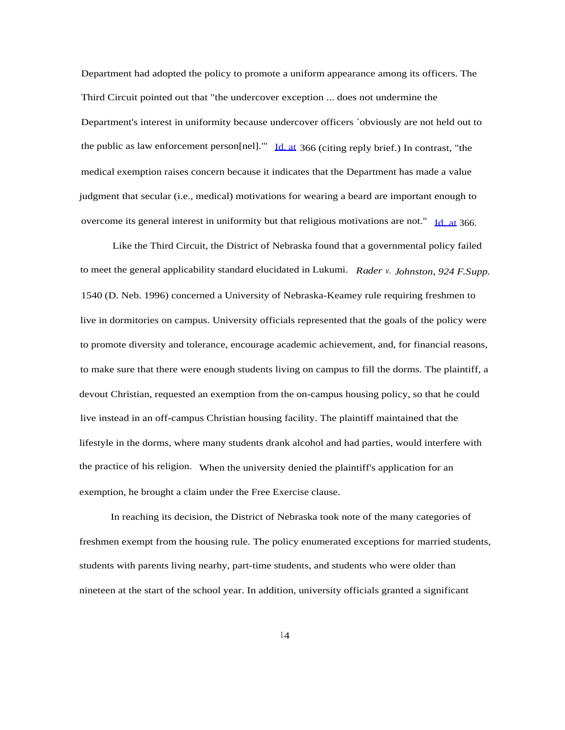Department had adopted the policy to promote a uniform appearance among its officers. The Third Circuit pointed out that "the undercover exception ... does not undermine the Department's interest in uniformity because undercover officers `obviously are not held out to the public as law enforcement person[nel]."' [Id. at](http://Id.at) 366 (citing reply brief.) In contrast, "the medical exemption raises concern because it indicates that the Department has made a value judgment that secular (i.e., medical) motivations for wearing a beard are important enough to overcome its general interest in uniformity but that religious motivations are not." [Id. at](http://Id.at) 366.

Like the Third Circuit, the District of Nebraska found that a governmental policy failed to meet the general applicability standard elucidated in Lukumi. *Rader v. Johnston, 924 F.Supp.* 1540 (D. Neb. 1996) concerned a University of Nebraska-Keamey rule requiring freshmen to live in dormitories on campus. University officials represented that the goals of the policy were to promote diversity and tolerance, encourage academic achievement, and, for financial reasons, to make sure that there were enough students living on campus to fill the dorms. The plaintiff, a devout Christian, requested an exemption from the on-campus housing policy, so that he could live instead in an off-campus Christian housing facility. The plaintiff maintained that the lifestyle in the dorms, where many students drank alcohol and had parties, would interfere with the practice of his religion. When the university denied the plaintiff's application for an exemption, he brought a claim under the Free Exercise clause.

In reaching its decision, the District of Nebraska took note of the many categories of freshmen exempt from the housing rule. The policy enumerated exceptions for married students, students with parents living nearhy, part-time students, and students who were older than nineteen at the start of the school year. In addition, university officials granted a significant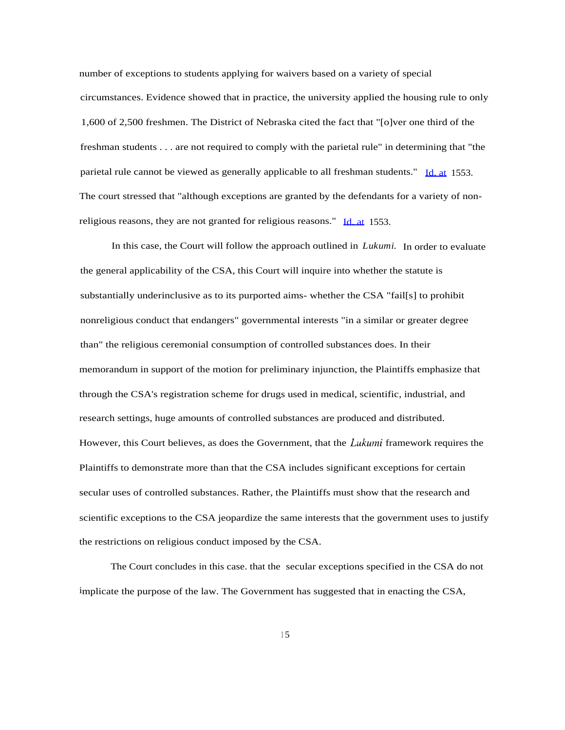number of exceptions to students applying for waivers based on a variety of special circumstances. Evidence showed that in practice, the university applied the housing rule to only 1,600 of 2,500 freshmen. The District of Nebraska cited the fact that "[o]ver one third of the freshman students . . . are not required to comply with the parietal rule" in determining that "the parietal rule cannot be viewed as generally applicable to all freshman students." [Id. at](http://Id.at) 1553. The court stressed that "although exceptions are granted by the defendants for a variety of non-religious reasons, they are not granted for religious reasons." [Id. at](http://Id.at) 1553.

In this case, the Court will follow the approach outlined in *Lukumi.* In order to evaluate the general applicability of the CSA, this Court will inquire into whether the statute is substantially underinclusive as to its purported aims- whether the CSA "fail[s] to prohibit nonreligious conduct that endangers" governmental interests "in a similar or greater degree than" the religious ceremonial consumption of controlled substances does. In their memorandum in support of the motion for preliminary injunction, the Plaintiffs emphasize that through the CSA's registration scheme for drugs used in medical, scientific, industrial, and research settings, huge amounts of controlled substances are produced and distributed. However, this Court believes, as does the Government, that the *Lukumi* framework requires the Plaintiffs to demonstrate more than that the CSA includes significant exceptions for certain secular uses of controlled substances. Rather, the Plaintiffs must show that the research and scientific exceptions to the CSA jeopardize the same interests that the government uses to justify the restrictions on religious conduct imposed by the CSA.

The Court concludes in this case. that the secular exceptions specified in the CSA do not implicate the purpose of the law. The Government has suggested that in enacting the CSA,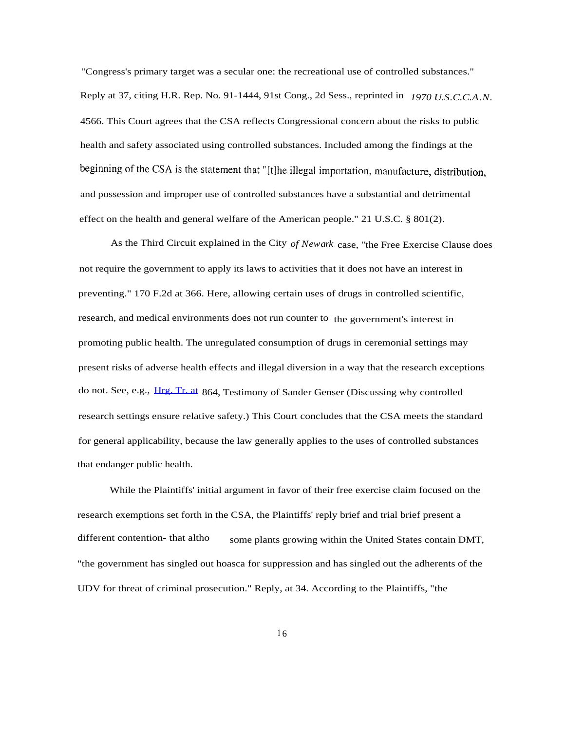"Congress's primary target was a secular one: the recreational use of controlled substances." Reply at 37, citing H.R. Rep. No. 91-1444, 91st Cong., 2d Sess., reprinted in *1970 U.S.C.C.A.N.* 4566. This Court agrees that the CSA reflects Congressional concern about the risks to public health and safety associated using controlled substances. Included among the findings at the beginning of the CSA is the statement that "[t]he illegal importation, manufacture, distribution, and possession and improper use of controlled substances have a substantial and detrimental effect on the health and general welfare of the American people." 21 U.S.C. § 801(2).

As the Third Circuit explained in the City *of Newark* case, "the Free Exercise Clause does not require the government to apply its laws to activities that it does not have an interest in preventing." 170 F.2d at 366. Here, allowing certain uses of drugs in controlled scientific, research, and medical environments does not run counter to the government's interest in promoting public health. The unregulated consumption of drugs in ceremonial settings may present risks of adverse health effects and illegal diversion in a way that the research exceptions do not. See, e.g., [Hrg. Tr. at](http://Hrg.Tr.at) 864, Testimony of Sander Genser (Discussing why controlled research settings ensure relative safety.) This Court concludes that the CSA meets the standard for general applicability, because the law generally applies to the uses of controlled substances that endanger public health.

While the Plaintiffs' initial argument in favor of their free exercise claim focused on the research exemptions set forth in the CSA, the Plaintiffs' reply brief and trial brief present a some plants growing within the United States contain DMT, "the government has singled out hoasca for suppression and has singled out the adherents of the UDV for threat of criminal prosecution." Reply, at 34. According to the Plaintiffs, "the different contention- that altho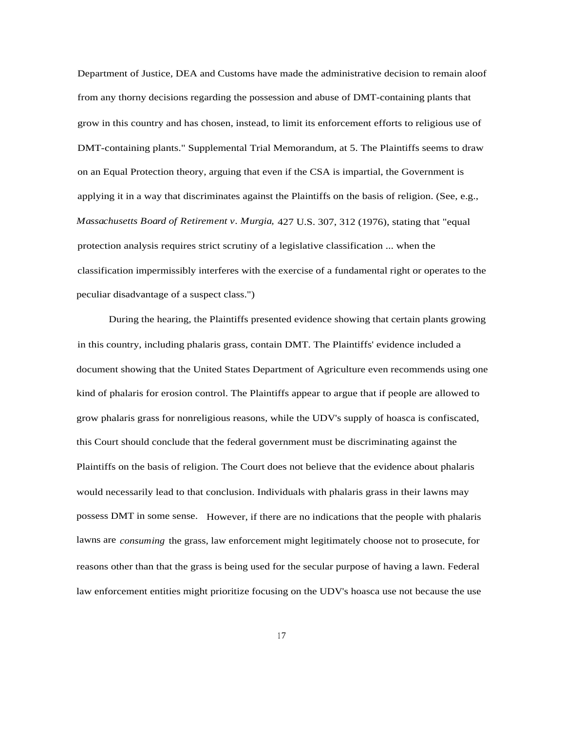Department of Justice, DEA and Customs have made the administrative decision to remain aloof from any thorny decisions regarding the possession and abuse of DMT-containing plants that grow in this country and has chosen, instead, to limit its enforcement efforts to religious use of DMT-containing plants." Supplemental Trial Memorandum, at 5. The Plaintiffs seems to draw on an Equal Protection theory, arguing that even if the CSA is impartial, the Government is applying it in a way that discriminates against the Plaintiffs on the basis of religion. (See, e.g., *Massachusetts Board of Retirement v. Murgia,* 427 U.S. 307, 312 (1976), stating that "equal protection analysis requires strict scrutiny of a legislative classification ... when the classification impermissibly interferes with the exercise of a fundamental right or operates to the peculiar disadvantage of a suspect class.")

During the hearing, the Plaintiffs presented evidence showing that certain plants growing in this country, including phalaris grass, contain DMT. The Plaintiffs' evidence included a document showing that the United States Department of Agriculture even recommends using one kind of phalaris for erosion control. The Plaintiffs appear to argue that if people are allowed to grow phalaris grass for nonreligious reasons, while the UDV's supply of hoasca is confiscated, this Court should conclude that the federal government must be discriminating against the Plaintiffs on the basis of religion. The Court does not believe that the evidence about phalaris would necessarily lead to that conclusion. Individuals with phalaris grass in their lawns may possess DMT in some sense. However, if there are no indications that the people with phalaris lawns are *consuming* the grass, law enforcement might legitimately choose not to prosecute, for reasons other than that the grass is being used for the secular purpose of having a lawn. Federal law enforcement entities might prioritize focusing on the UDV's hoasca use not because the use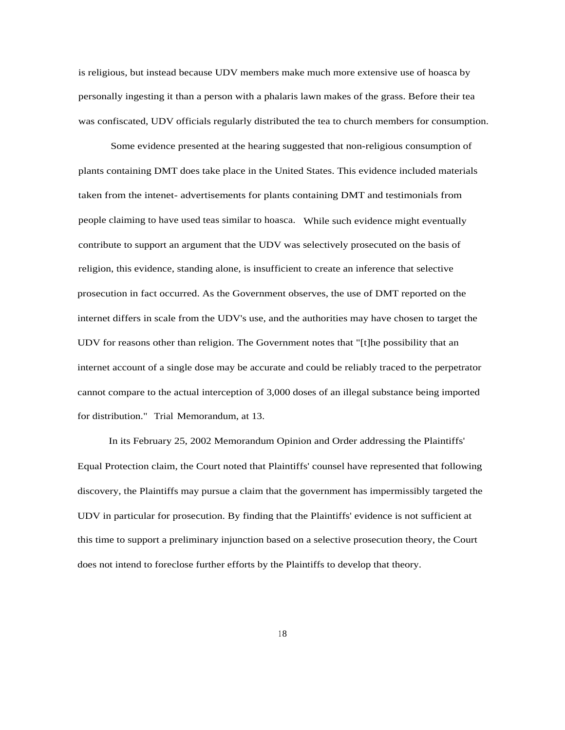is religious, but instead because UDV members make much more extensive use of hoasca by personally ingesting it than a person with a phalaris lawn makes of the grass. Before their tea was confiscated, UDV officials regularly distributed the tea to church members for consumption.

Some evidence presented at the hearing suggested that non-religious consumption of plants containing DMT does take place in the United States. This evidence included materials taken from the intenet- advertisements for plants containing DMT and testimonials from people claiming to have used teas similar to hoasca. While such evidence might eventually contribute to support an argument that the UDV was selectively prosecuted on the basis of religion, this evidence, standing alone, is insufficient to create an inference that selective prosecution in fact occurred. As the Government observes, the use of DMT reported on the internet differs in scale from the UDV's use, and the authorities may have chosen to target the UDV for reasons other than religion. The Government notes that "[t]he possibility that an internet account of a single dose may be accurate and could be reliably traced to the perpetrator cannot compare to the actual interception of 3,000 doses of an illegal substance being imported for distribution." Trial Memorandum, at 13.

In its February 25, 2002 Memorandum Opinion and Order addressing the Plaintiffs' Equal Protection claim, the Court noted that Plaintiffs' counsel have represented that following discovery, the Plaintiffs may pursue a claim that the government has impermissibly targeted the UDV in particular for prosecution. By finding that the Plaintiffs' evidence is not sufficient at this time to support a preliminary injunction based on a selective prosecution theory, the Court does not intend to foreclose further efforts by the Plaintiffs to develop that theory.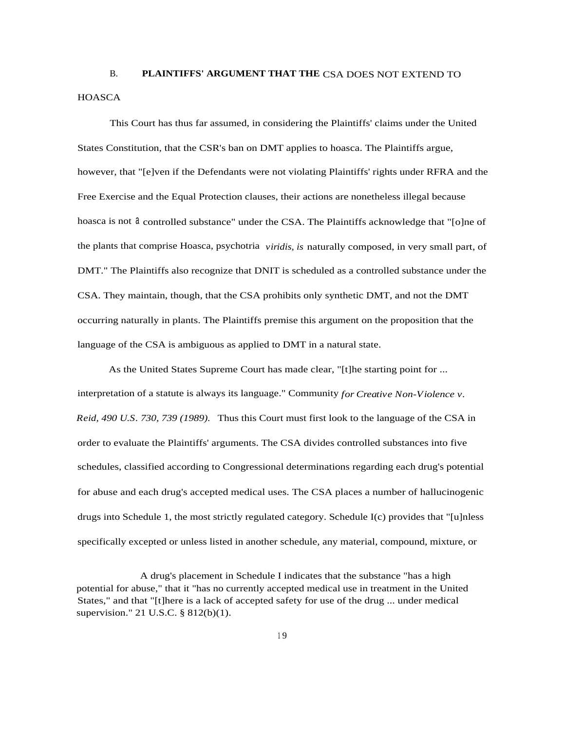# B. **PLAINTIFFS' ARGUMENT THAT THE** CSA DOES NOT EXTEND TO **HOASCA**

This Court has thus far assumed, in considering the Plaintiffs' claims under the United States Constitution, that the CSR's ban on DMT applies to hoasca. The Plaintiffs argue, however, that "[e]ven if the Defendants were not violating Plaintiffs' rights under RFRA and the Free Exercise and the Equal Protection clauses, their actions are nonetheless illegal because hoasca is not  $\alpha$  controlled substance" under the CSA. The Plaintiffs acknowledge that "[o]ne of the plants that comprise Hoasca, psychotria *viridis, is* naturally composed, in very small part, of DMT." The Plaintiffs also recognize that DNIT is scheduled as a controlled substance under the CSA. They maintain, though, that the CSA prohibits only synthetic DMT, and not the DMT occurring naturally in plants. The Plaintiffs premise this argument on the proposition that the language of the CSA is ambiguous as applied to DMT in a natural state.

As the United States Supreme Court has made clear, "[t]he starting point for ... interpretation of a statute is always its language." Community *for Creative Non-Violence v. Reid, 490 U.S. 730, 739 (1989).* Thus this Court must first look to the language of the CSA in order to evaluate the Plaintiffs' arguments. The CSA divides controlled substances into five schedules, classified according to Congressional determinations regarding each drug's potential for abuse and each drug's accepted medical uses. The CSA places a number of hallucinogenic drugs into Schedule 1, the most strictly regulated category. Schedule I(c) provides that "[u]nless specifically excepted or unless listed in another schedule, any material, compound, mixture, or

A drug's placement in Schedule I indicates that the substance "has a high potential for abuse," that it "has no currently accepted medical use in treatment in the United States," and that "[t]here is a lack of accepted safety for use of the drug ... under medical supervision." 21 U.S.C. § 812(b)(1).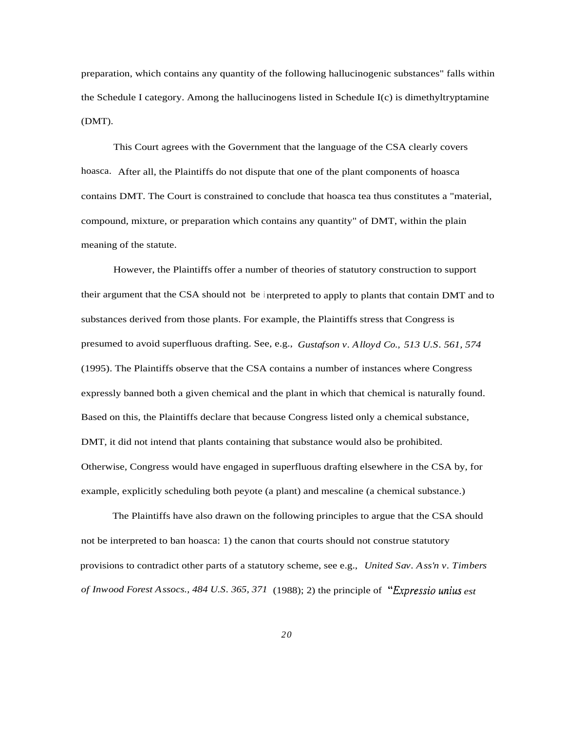preparation, which contains any quantity of the following hallucinogenic substances" falls within the Schedule I category. Among the hallucinogens listed in Schedule I(c) is dimethyltryptamine (DMT).

This Court agrees with the Government that the language of the CSA clearly covers hoasca. After all, the Plaintiffs do not dispute that one of the plant components of hoasca contains DMT. The Court is constrained to conclude that hoasca tea thus constitutes a "material, compound, mixture, or preparation which contains any quantity" of DMT, within the plain meaning of the statute.

However, the Plaintiffs offer a number of theories of statutory construction to support their argument that the CSA should not be <sup>i</sup> nterpreted to apply to plants that contain DMT and to substances derived from those plants. For example, the Plaintiffs stress that Congress is presumed to avoid superfluous drafting. See, e.g., *Gustafson v. Alloyd Co., 513 U.S. 561, 574* (1995). The Plaintiffs observe that the CSA contains a number of instances where Congress expressly banned both a given chemical and the plant in which that chemical is naturally found. Based on this, the Plaintiffs declare that because Congress listed only a chemical substance, DMT, it did not intend that plants containing that substance would also be prohibited. Otherwise, Congress would have engaged in superfluous drafting elsewhere in the CSA by, for example, explicitly scheduling both peyote (a plant) and mescaline (a chemical substance.)

The Plaintiffs have also drawn on the following principles to argue that the CSA should not be interpreted to ban hoasca: 1) the canon that courts should not construe statutory provisions to contradict other parts of a statutory scheme, see e.g., *United Sav. Ass'n v. Timbers of Inwood Forest Assocs., 484 U.S. 365, 371* (1988); 2) the principle of *"Evpressio unius est*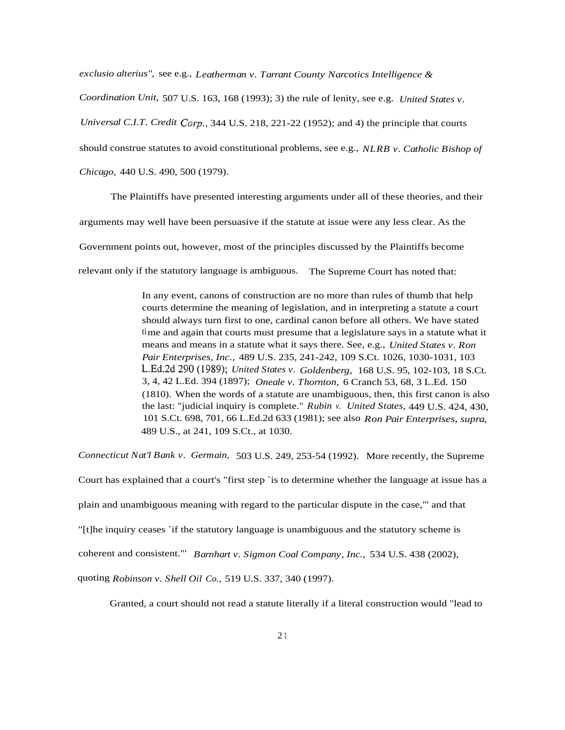*exclusio alterius",* see e.g., *Leatherman v. Tarrant County Narcotics Intelligence & Coordination Unit,* 507 U.S. 163, 168 (1993); 3) the rule of lenity, see e.g. *United States v. Universal C.I.T. Credit* Corp., 344 U.S. 218, 221-22 (1952); and 4) the principle that courts should construe statutes to avoid constitutional problems, see e.g., *NLRB v. Catholic Bishop of Chicago,* 440 U.S. 490, 500 (1979).

The Plaintiffs have presented interesting arguments under all of these theories, and their arguments may well have been persuasive if the statute at issue were any less clear. As the Government points out, however, most of the principles discussed by the Plaintiffs become relevant only if the statutory language is ambiguous. The Supreme Court has noted that:

> In any event, canons of construction are no more than rules of thumb that help courts determine the meaning of legislation, and in interpreting a statute a court should always turn first to one, cardinal canon before all others. We have stated time and again that courts must presume that a legislature says in a statute what it means and means in a statute what it says there. See, e.g., *United States v. Ron Pair Enterprises, Inc.,* 489 U.S. 235, 241-242, 109 S.Ct. 1026, 1030-1031, 103 L.Ed.2d 290 (1989); *United States v. Goldenberg,* 168 U.S. 95, 102-103, 18 S.Ct. 3, 4, 42 L.Ed. 394 (1897); *Oneale v. Thornton,* 6 Cranch 53, 68, 3 L.Ed. 150 (1810). When the words of a statute are unambiguous, then, this first canon is also the last: "judicial inquiry is complete." *Rubin v. United States,* 449 U.S. 424, 430, 101 S.Ct. 698, 701, 66 L.Ed.2d 633 (1981); see also *Ron Pair Enterprises, supra,* 489 U.S., at 241, 109 S.Ct., at 1030.

*Connecticut Nat'l Bank v. Germain,* 503 U.S. 249, 253-54 (1992). More recently, the Supreme Court has explained that a court's "first step `is to determine whether the language at issue has a plain and unambiguous meaning with regard to the particular dispute in the case,"' and that "[t]he inquiry ceases `if the statutory language is unambiguous and the statutory scheme is coherent and consistent."' *Barnhart v. Sigmon Coal Company, Inc.,* 534 U.S. 438 (2002), quoting *Robinson v. Shell Oil Co.,* 519 U.S. 337, 340 (1997).

Granted, a court should not read a statute literally if a literal construction would "lead to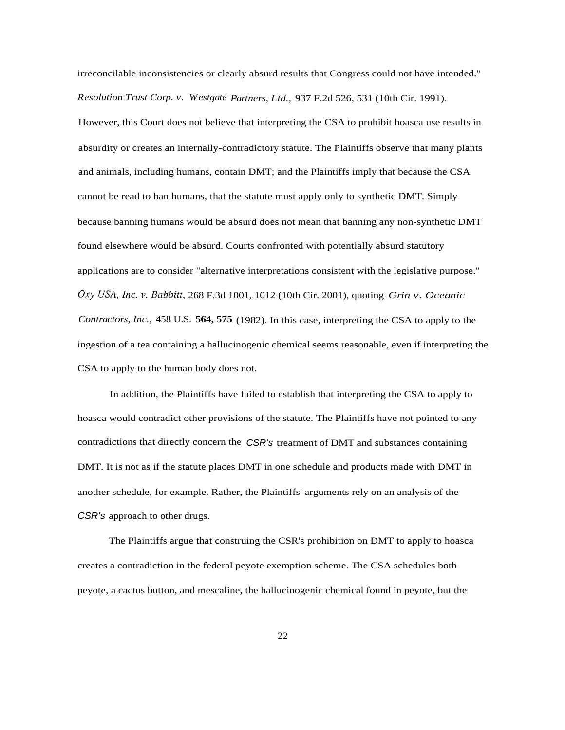irreconcilable inconsistencies or clearly absurd results that Congress could not have intended." *Resolution Trust Corp. v. Westgate Partners, Ltd.,* 937 F.2d 526, 531 (10th Cir. 1991).

However, this Court does not believe that interpreting the CSA to prohibit hoasca use results in absurdity or creates an internally-contradictory statute. The Plaintiffs observe that many plants and animals, including humans, contain DMT; and the Plaintiffs imply that because the CSA cannot be read to ban humans, that the statute must apply only to synthetic DMT. Simply because banning humans would be absurd does not mean that banning any non-synthetic DMT found elsewhere would be absurd. Courts confronted with potentially absurd statutory applications are to consider "alternative interpretations consistent with the legislative purpose." *Oxy USA, Inc. v. Babbitt,* 268 F.3d 1001, 1012 (10th Cir. 2001), quoting *Grin v. Oceanic Contractors, Inc.,* 458 U.S. **564, 575** (1982). In this case, interpreting the CSA to apply to the ingestion of a tea containing a hallucinogenic chemical seems reasonable, even if interpreting the CSA to apply to the human body does not.

In addition, the Plaintiffs have failed to establish that interpreting the CSA to apply to hoasca would contradict other provisions of the statute. The Plaintiffs have not pointed to any contradictions that directly concern the CSR's treatment of DMT and substances containing DMT. It is not as if the statute places DMT in one schedule and products made with DMT in another schedule, for example. Rather, the Plaintiffs' arguments rely on an analysis of the CSR's approach to other drugs.

The Plaintiffs argue that construing the CSR's prohibition on DMT to apply to hoasca creates a contradiction in the federal peyote exemption scheme. The CSA schedules both peyote, a cactus button, and mescaline, the hallucinogenic chemical found in peyote, but the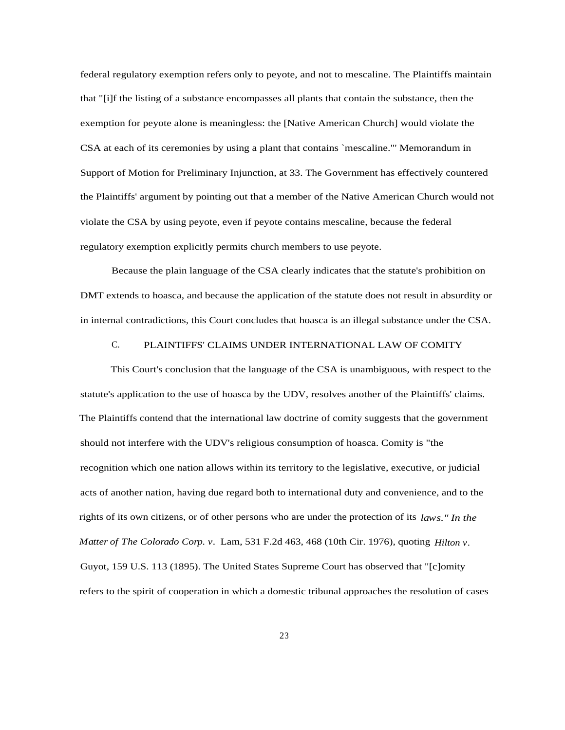federal regulatory exemption refers only to peyote, and not to mescaline. The Plaintiffs maintain that "[i]f the listing of a substance encompasses all plants that contain the substance, then the exemption for peyote alone is meaningless: the [Native American Church] would violate the CSA at each of its ceremonies by using a plant that contains `mescaline."' Memorandum in Support of Motion for Preliminary Injunction, at 33. The Government has effectively countered the Plaintiffs' argument by pointing out that a member of the Native American Church would not violate the CSA by using peyote, even if peyote contains mescaline, because the federal regulatory exemption explicitly permits church members to use peyote.

Because the plain language of the CSA clearly indicates that the statute's prohibition on DMT extends to hoasca, and because the application of the statute does not result in absurdity or in internal contradictions, this Court concludes that hoasca is an illegal substance under the CSA.

## C. PLAINTIFFS' CLAIMS UNDER INTERNATIONAL LAW OF COMITY

This Court's conclusion that the language of the CSA is unambiguous, with respect to the statute's application to the use of hoasca by the UDV, resolves another of the Plaintiffs' claims. The Plaintiffs contend that the international law doctrine of comity suggests that the government should not interfere with the UDV's religious consumption of hoasca. Comity is "the recognition which one nation allows within its territory to the legislative, executive, or judicial acts of another nation, having due regard both to international duty and convenience, and to the rights of its own citizens, or of other persons who are under the protection of its *laws." In the Matter of The Colorado Corp. v.* Lam, 531 F.2d 463, 468 (10th Cir. 1976), quoting *Hilton v.* Guyot, 159 U.S. 113 (1895). The United States Supreme Court has observed that "[c]omity refers to the spirit of cooperation in which a domestic tribunal approaches the resolution of cases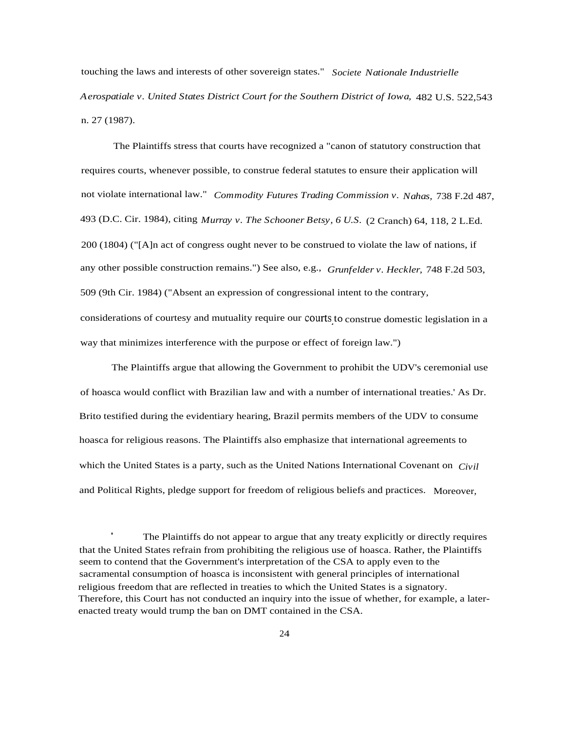touching the laws and interests of other sovereign states." *Societe Nationale Industrielle Aerospatiale v. United States District Court for the Southern District of Iowa,* 482 U.S. 522,543 n. 27 (1987).

The Plaintiffs stress that courts have recognized a "canon of statutory construction that requires courts, whenever possible, to construe federal statutes to ensure their application will not violate international law." *Commodity Futures Trading Commission v. Nahas,* 738 F.2d 487, 493 (D.C. Cir. 1984), citing *Murray v. The Schooner Betsy, 6 U.S.* (2 Cranch) 64, 118, 2 L.Ed. 200 (1804) ("[A]n act of congress ought never to be construed to violate the law of nations, if any other possible construction remains.") See also, e.g., *Grunfelder v. Heckler,* 748 F.2d 503, 509 (9th Cir. 1984) ("Absent an expression of congressional intent to the contrary, considerations of courtesy and mutuality require our courts to construe domestic legislation in a way that minimizes interference with the purpose or effect of foreign law.")

The Plaintiffs argue that allowing the Government to prohibit the UDV's ceremonial use of hoasca would conflict with Brazilian law and with a number of international treaties.' As Dr. Brito testified during the evidentiary hearing, Brazil permits members of the UDV to consume hoasca for religious reasons. The Plaintiffs also emphasize that international agreements to which the United States is a party, such as the United Nations International Covenant on *Civil* and Political Rights, pledge support for freedom of religious beliefs and practices. Moreover,

 The Plaintiffs do not appear to argue that any treaty explicitly or directly requires that the United States refrain from prohibiting the religious use of hoasca. Rather, the Plaintiffs seem to contend that the Government's interpretation of the CSA to apply even to the sacramental consumption of hoasca is inconsistent with general principles of international religious freedom that are reflected in treaties to which the United States is a signatory. Therefore, this Court has not conducted an inquiry into the issue of whether, for example, a laterenacted treaty would trump the ban on DMT contained in the CSA.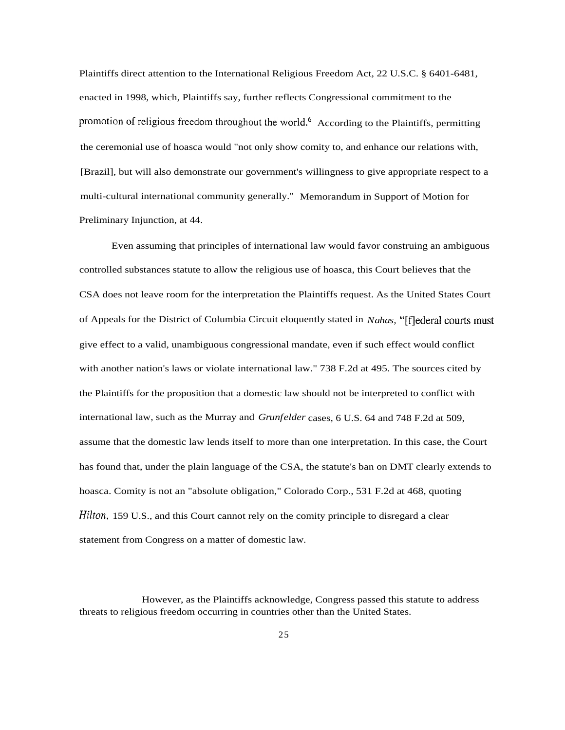Plaintiffs direct attention to the International Religious Freedom Act, 22 U.S.C. § 6401-6481, enacted in 1998, which, Plaintiffs say, further reflects Congressional commitment to the promotion of religious freedom throughout the world.<sup>6</sup> According to the Plaintiffs, permitting the ceremonial use of hoasca would "not only show comity to, and enhance our relations with, [Brazil], but will also demonstrate our government's willingness to give appropriate respect to a multi-cultural international community generally." Memorandum in Support of Motion for Preliminary Injunction, at 44.

Even assuming that principles of international law would favor construing an ambiguous controlled substances statute to allow the religious use of hoasca, this Court believes that the CSA does not leave room for the interpretation the Plaintiffs request. As the United States Court of Appeals for the District of Columbia Circuit eloquently stated in *Nahas,* "[f]ederal courts must give effect to a valid, unambiguous congressional mandate, even if such effect would conflict with another nation's laws or violate international law." 738 F.2d at 495. The sources cited by the Plaintiffs for the proposition that a domestic law should not be interpreted to conflict with international law, such as the Murray and *Grunfelder* cases, 6 U.S. 64 and 748 F.2d at 509, assume that the domestic law lends itself to more than one interpretation. In this case, the Court has found that, under the plain language of the CSA, the statute's ban on DMT clearly extends to hoasca. Comity is not an "absolute obligation," Colorado Corp., 531 F.2d at 468, quoting *Hilton,* 159 U.S., and this Court cannot rely on the comity principle to disregard a clear statement from Congress on a matter of domestic law.

However, as the Plaintiffs acknowledge, Congress passed this statute to address threats to religious freedom occurring in countries other than the United States.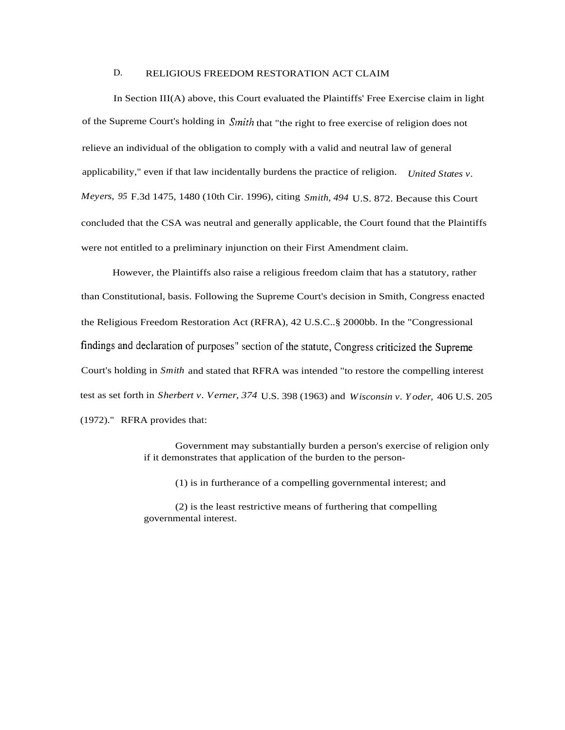# D. RELIGIOUS FREEDOM RESTORATION ACT CLAIM

In Section III(A) above, this Court evaluated the Plaintiffs' Free Exercise claim in light of the Supreme Court's holding in *Sinith* that "the right to free exercise of religion does not relieve an individual of the obligation to comply with a valid and neutral law of general applicability," even if that law incidentally burdens the practice of religion. *United States v. Meyers, 95* F.3d 1475, 1480 (10th Cir. 1996), citing *Smith, 494* U.S. 872. Because this Court concluded that the CSA was neutral and generally applicable, the Court found that the Plaintiffs were not entitled to a preliminary injunction on their First Amendment claim.

However, the Plaintiffs also raise a religious freedom claim that has a statutory, rather than Constitutional, basis. Following the Supreme Court's decision in Smith, Congress enacted the Religious Freedom Restoration Act (RFRA), 42 U.S.C..§ 2000bb. In the "Congressional findings and declaration of purposes" section of the statute, Congress criticized the Supreme Court's holding in *Smith* and stated that RFRA was intended "to restore the compelling interest test as set forth in *Sherbert v. Verner, 374* U.S. 398 (1963) and *Wisconsin v. Yoder,* 406 U.S. 205 (1972)." RFRA provides that:

> Government may substantially burden a person's exercise of religion only if it demonstrates that application of the burden to the person-

(1) is in furtherance of a compelling governmental interest; and

(2) is the least restrictive means of furthering that compelling governmental interest.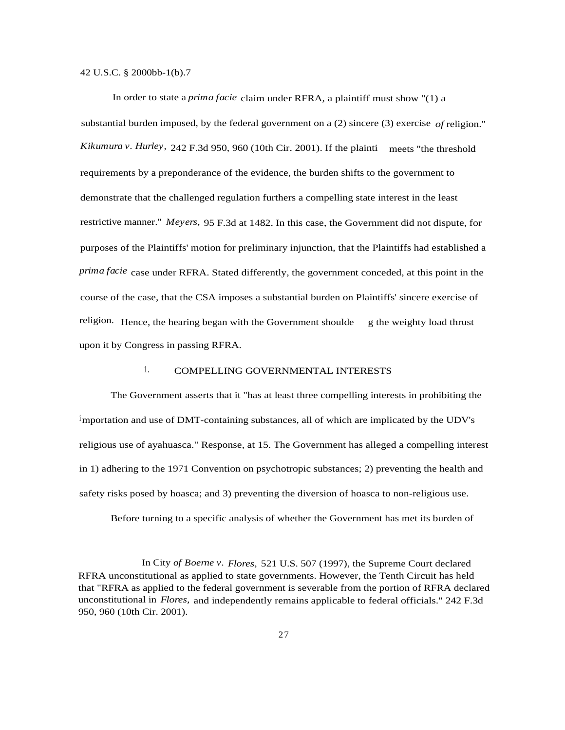42 U.S.C. § 2000bb-1(b).7

In order to state a *prima facie* claim under RFRA, a plaintiff must show "(1) a substantial burden imposed, by the federal government on a (2) sincere (3) exercise *of*religion." *Kikumura v. Hurley,* 242 F.3d 950, 960 (10th Cir. 2001). If the plainti meets "the threshold requirements by a preponderance of the evidence, the burden shifts to the government to demonstrate that the challenged regulation furthers a compelling state interest in the least restrictive manner." *Meyers,* 95 F.3d at 1482. In this case, the Government did not dispute, for purposes of the Plaintiffs' motion for preliminary injunction, that the Plaintiffs had established a *prima facie* case under RFRA. Stated differently, the government conceded, at this point in the course of the case, that the CSA imposes a substantial burden on Plaintiffs' sincere exercise of religion. Hence, the hearing began with the Government shoulde g the weighty load thrust upon it by Congress in passing RFRA.

# 1. COMPELLING GOVERNMENTAL INTERESTS

The Government asserts that it "has at least three compelling interests in prohibiting the importation and use of DMT-containing substances, all of which are implicated by the UDV's religious use of ayahuasca." Response, at 15. The Government has alleged a compelling interest in 1) adhering to the 1971 Convention on psychotropic substances; 2) preventing the health and safety risks posed by hoasca; and 3) preventing the diversion of hoasca to non-religious use.

Before turning to a specific analysis of whether the Government has met its burden of

In City *of Boerne v. Flores,* 521 U.S. 507 (1997), the Supreme Court declared RFRA unconstitutional as applied to state governments. However, the Tenth Circuit has held that "RFRA as applied to the federal government is severable from the portion of RFRA declared unconstitutional in *Flores,* and independently remains applicable to federal officials." 242 F.3d 950, 960 (10th Cir. 2001).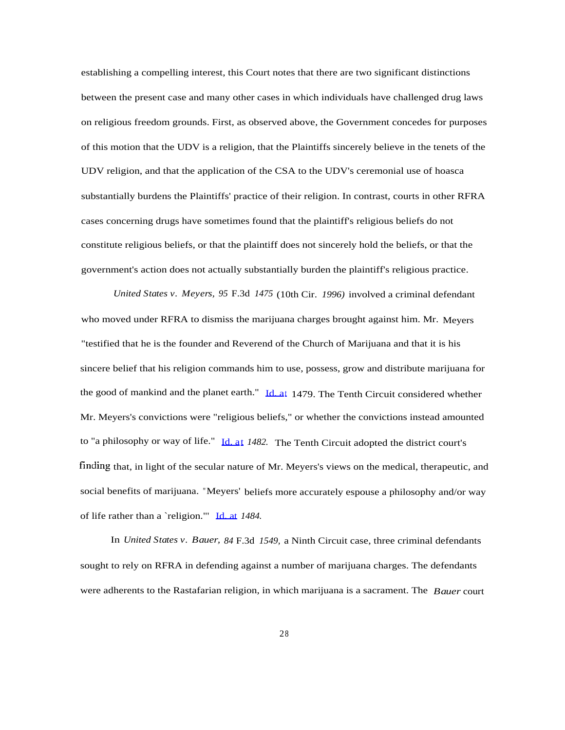establishing a compelling interest, this Court notes that there are two significant distinctions between the present case and many other cases in which individuals have challenged drug laws on religious freedom grounds. First, as observed above, the Government concedes for purposes of this motion that the UDV is a religion, that the Plaintiffs sincerely believe in the tenets of the UDV religion, and that the application of the CSA to the UDV's ceremonial use of hoasca substantially burdens the Plaintiffs' practice of their religion. In contrast, courts in other RFRA cases concerning drugs have sometimes found that the plaintiff's religious beliefs do not constitute religious beliefs, or that the plaintiff does not sincerely hold the beliefs, or that the government's action does not actually substantially burden the plaintiff's religious practice.

*United States v. Meyers, 95* F.3d *1475* (10th Cir. *1996)* involved a criminal defendant who moved under RFRA to dismiss the marijuana charges brought against him. Mr. Meyers "testified that he is the founder and Reverend of the Church of Marijuana and that it is his sincere belief that his religion commands him to use, possess, grow and distribute marijuana for the good of mankind and the planet earth." [Id. at](http://Id.at) 1479. The Tenth Circuit considered whether Mr. Meyers's convictions were "religious beliefs," or whether the convictions instead amounted to "a philosophy or way of life." [Id. at](http://Id.at) *1482.* The Tenth Circuit adopted the district court's finding that, in light of the secular nature of Mr. Meyers's views on the medical, therapeutic, and social benefits of marijuana. "Meyers' beliefs more accurately espouse a philosophy and/or way of life rather than a `religion."' [Id. at](http://Id.at) *1484.*

In *United States v. Bauer, 84* F.3d *1549,* a Ninth Circuit case, three criminal defendants sought to rely on RFRA in defending against a number of marijuana charges. The defendants were adherents to the Rastafarian religion, in which marijuana is a sacrament. The *Bauer* court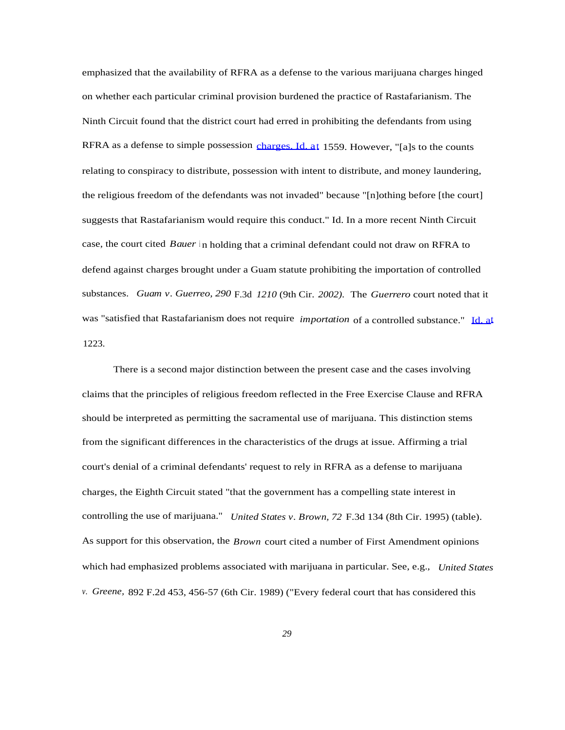emphasized that the availability of RFRA as a defense to the various marijuana charges hinged on whether each particular criminal provision burdened the practice of Rastafarianism. The Ninth Circuit found that the district court had erred in prohibiting the defendants from using RFRA as a defense to simple possession [charges. Id. at](http://charges.Id.at) 1559. However, "[a]s to the counts relating to conspiracy to distribute, possession with intent to distribute, and money laundering, the religious freedom of the defendants was not invaded" because "[n]othing before [the court] suggests that Rastafarianism would require this conduct." Id. In a more recent Ninth Circuit case, the court cited *Bauer* in holding that a criminal defendant could not draw on RFRA to defend against charges brought under a Guam statute prohibiting the importation of controlled substances. *Guam v. Guerreo, 290* F.3d *1210* (9th Cir. *2002).* The *Guerrero* court noted that it was "satisfied that Rastafarianism does not require *importation* of a controlled substance." [Id. at](http://Id.at) 1223.

There is a second major distinction between the present case and the cases involving claims that the principles of religious freedom reflected in the Free Exercise Clause and RFRA should be interpreted as permitting the sacramental use of marijuana. This distinction stems from the significant differences in the characteristics of the drugs at issue. Affirming a trial court's denial of a criminal defendants' request to rely in RFRA as a defense to marijuana charges, the Eighth Circuit stated "that the government has a compelling state interest in controlling the use of marijuana." *United States v. Brown, 72* F.3d 134 (8th Cir. 1995) (table). As support for this observation, the *Brown* court cited a number of First Amendment opinions which had emphasized problems associated with marijuana in particular. See, e.g., *United States v. Greene,* 892 F.2d 453, 456-57 (6th Cir. 1989) ("Every federal court that has considered this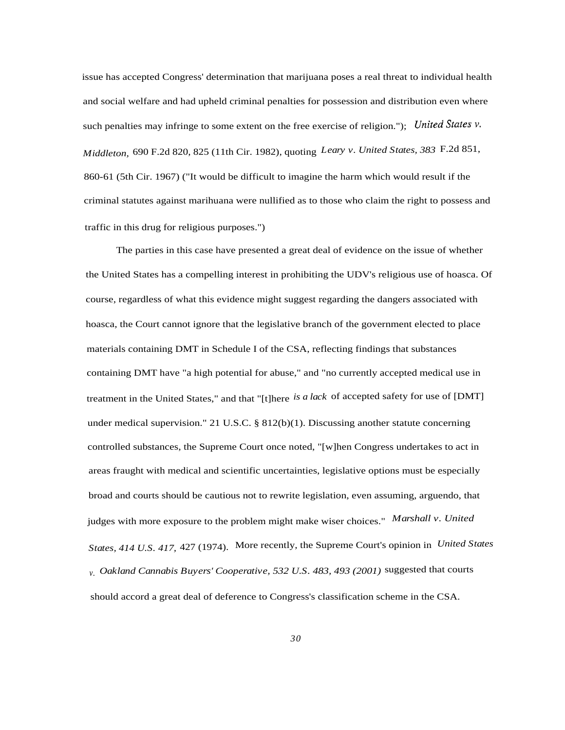issue has accepted Congress' determination that marijuana poses a real threat to individual health and social welfare and had upheld criminal penalties for possession and distribution even where such penalties may infringe to some extent on the free exercise of religion."); *United States v. Middleton,* 690 F.2d 820, 825 (11th Cir. 1982), quoting *Leary v. United States, 383* F.2d 851, 860-61 (5th Cir. 1967) ("It would be difficult to imagine the harm which would result if the criminal statutes against marihuana were nullified as to those who claim the right to possess and traffic in this drug for religious purposes.")

The parties in this case have presented a great deal of evidence on the issue of whether the United States has a compelling interest in prohibiting the UDV's religious use of hoasca. Of course, regardless of what this evidence might suggest regarding the dangers associated with hoasca, the Court cannot ignore that the legislative branch of the government elected to place materials containing DMT in Schedule I of the CSA, reflecting findings that substances containing DMT have "a high potential for abuse," and "no currently accepted medical use in treatment in the United States," and that "[t]here *is a lack* of accepted safety for use of [DMT] under medical supervision." 21 U.S.C.  $\S$  812(b)(1). Discussing another statute concerning controlled substances, the Supreme Court once noted, "[w]hen Congress undertakes to act in areas fraught with medical and scientific uncertainties, legislative options must be especially broad and courts should be cautious not to rewrite legislation, even assuming, arguendo, that judges with more exposure to the problem might make wiser choices." *Marshall v. United States, 414 U.S. 417,* 427 (1974). More recently, the Supreme Court's opinion in *United States v. Oakland Cannabis Buyers' Cooperative, 532 U.S. 483, 493 (2001)* suggested that courts should accord a great deal of deference to Congress's classification scheme in the CSA.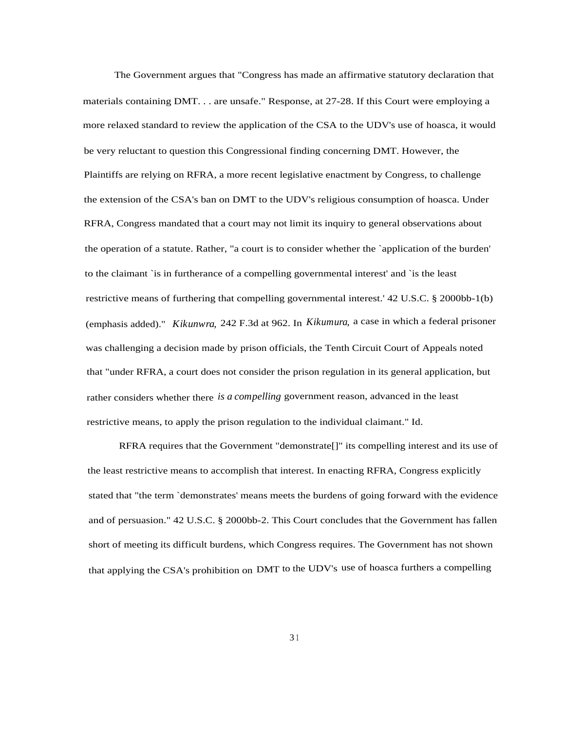The Government argues that "Congress has made an affirmative statutory declaration that materials containing DMT. . . are unsafe." Response, at 27-28. If this Court were employing a more relaxed standard to review the application of the CSA to the UDV's use of hoasca, it would be very reluctant to question this Congressional finding concerning DMT. However, the Plaintiffs are relying on RFRA, a more recent legislative enactment by Congress, to challenge the extension of the CSA's ban on DMT to the UDV's religious consumption of hoasca. Under RFRA, Congress mandated that a court may not limit its inquiry to general observations about the operation of a statute. Rather, "a court is to consider whether the `application of the burden' to the claimant `is in furtherance of a compelling governmental interest' and `is the least restrictive means of furthering that compelling governmental interest.' 42 U.S.C. § 2000bb-1(b) (emphasis added)." *Kikunwra,* 242 F.3d at 962. In *Kikumura,* a case in which a federal prisoner was challenging a decision made by prison officials, the Tenth Circuit Court of Appeals noted that "under RFRA, a court does not consider the prison regulation in its general application, but rather considers whether there *is a compelling* government reason, advanced in the least restrictive means, to apply the prison regulation to the individual claimant." Id.

RFRA requires that the Government "demonstrate[]" its compelling interest and its use of the least restrictive means to accomplish that interest. In enacting RFRA, Congress explicitly stated that "the term `demonstrates' means meets the burdens of going forward with the evidence and of persuasion." 42 U.S.C. § 2000bb-2. This Court concludes that the Government has fallen short of meeting its difficult burdens, which Congress requires. The Government has not shown that applying the CSA's prohibition on DMT to the UDV's use of hoasca furthers a compelling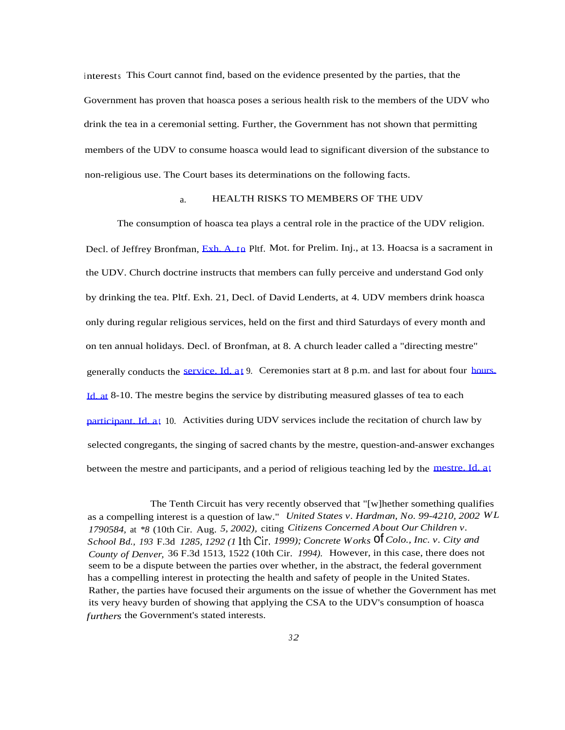interests This Court cannot find, based on the evidence presented by the parties, that the Government has proven that hoasca poses a serious health risk to the members of the UDV who drink the tea in a ceremonial setting. Further, the Government has not shown that permitting members of the UDV to consume hoasca would lead to significant diversion of the substance to non-religious use. The Court bases its determinations on the following facts.

## a. HEALTH RISKS TO MEMBERS OF THE UDV

The consumption of hoasca tea plays a central role in the practice of the UDV religion. Decl. of Jeffrey Bronfman, [Exh. A. to](http://Exh.A.to) Pltf. Mot. for Prelim. Inj., at 13. Hoacsa is a sacrament in the UDV. Church doctrine instructs that members can fully perceive and understand God only by drinking the tea. Pltf. Exh. 21, Decl. of David Lenderts, at 4. UDV members drink hoasca only during regular religious services, held on the first and third Saturdays of every month and on ten annual holidays. Decl. of Bronfman, at 8. A church leader called a "directing mestre" generally conducts the [service. Id. a](http://service.Id.at)[t](http://service.Id.at) 9. Ceremonies start at 8 p.m. and last for about four [hours.](http://hours.Id.at) [Id. at](http://hours.Id.at) 8-10. The mestre begins the service by distributing measured glasses of tea to each [participant. Id. a](http://participant.Id.at)[t](http://participant.Id.at) 10. Activities during UDV services include the recitation of church law by selected congregants, the singing of sacred chants by the mestre, question-and-answer exchanges between the mestre and participants, and a period of religious teaching led by the [mestre. Id. at](http://mestre.Id.at)

The Tenth Circuit has very recently observed that "[w]hether something qualifies as a compelling interest is a question of law." *United States v. Hardman, No. 99-4210, 2002 WL 1790584,* at *\*8* (10th Cir. Aug. *5, 2002),* citing *Citizens Concerned About Our Children v. School Bd., <sup>193</sup>* F.3d *1285, 1292 (1* lth Cir. *1999); Concrete Works* of *Colo., Inc. v. City and County of Denver,* 36 F.3d 1513, 1522 (10th Cir. *1994).* However, in this case, there does not seem to be a dispute between the parties over whether, in the abstract, the federal government has a compelling interest in protecting the health and safety of people in the United States. Rather, the parties have focused their arguments on the issue of whether the Government has met its very heavy burden of showing that applying the CSA to the UDV's consumption of hoasca *furthers* the Government's stated interests.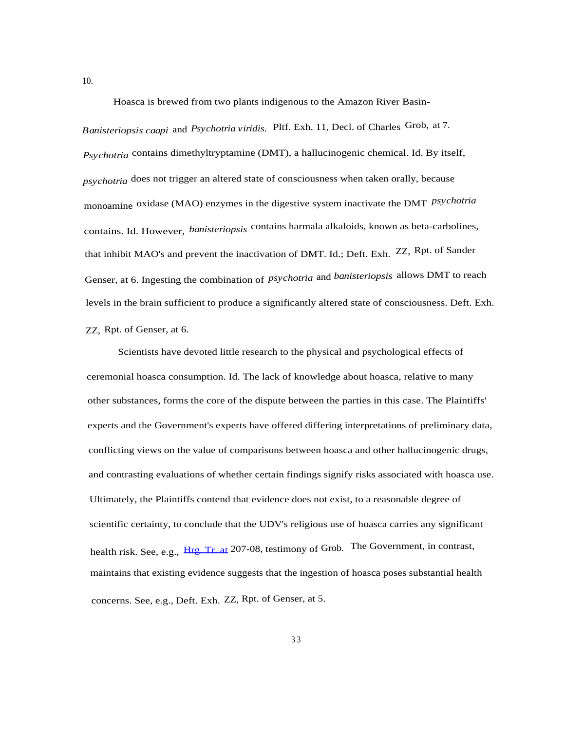Hoasca is brewed from two plants indigenous to the Amazon River Basin-

*Banisteriopsis caapi* and *Psychotria viridis.* Pltf. Exh. 11, Decl. of Charles Grob, at 7. *Psychotria* contains dimethyltryptamine (DMT), a hallucinogenic chemical. Id. By itself, *psychotria* does not trigger an altered state of consciousness when taken orally, because monoamine oxidase (MAO) enzymes in the digestive system inactivate the DMT *psychotria* contains. Id. However, *banisteriopsis* contains harmala alkaloids, known as beta-carbolines, that inhibit MAO's and prevent the inactivation of DMT. Id.; Deft. Exh. ZZ, Rpt. of Sander Genser, at 6. Ingesting the combination of *psychotria* and *banisteriopsis* allows DMT to reach levels in the brain sufficient to produce a significantly altered state of consciousness. Deft. Exh. ZZ, Rpt. of Genser, at 6.

Scientists have devoted little research to the physical and psychological effects of ceremonial hoasca consumption. Id. The lack of knowledge about hoasca, relative to many other substances, forms the core of the dispute between the parties in this case. The Plaintiffs' experts and the Government's experts have offered differing interpretations of preliminary data, conflicting views on the value of comparisons between hoasca and other hallucinogenic drugs, and contrasting evaluations of whether certain findings signify risks associated with hoasca use. Ultimately, the Plaintiffs contend that evidence does not exist, to a reasonable degree of scientific certainty, to conclude that the UDV's religious use of hoasca carries any significant health risk. See, e.g., [Hrg. Tr. at](http://Hrg.Tr.at) 207-08, testimony of Grob. The Government, in contrast, maintains that existing evidence suggests that the ingestion of hoasca poses substantial health concerns. See, e.g., Deft. Exh. ZZ, Rpt. of Genser, at 5.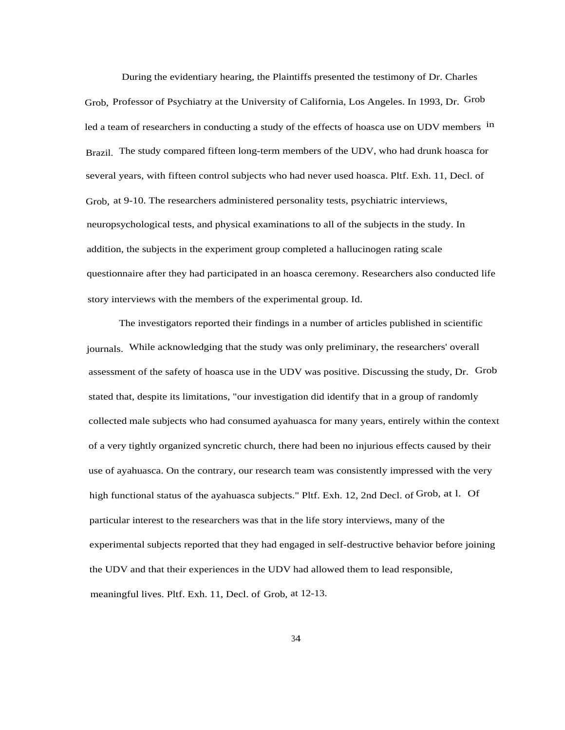During the evidentiary hearing, the Plaintiffs presented the testimony of Dr. Charles Grob, Professor of Psychiatry at the University of California, Los Angeles. In 1993, Dr. Grob led a team of researchers in conducting a study of the effects of hoasca use on UDV members in Brazil. The study compared fifteen long-term members of the UDV, who had drunk hoasca for several years, with fifteen control subjects who had never used hoasca. Pltf. Exh. 11, Decl. of Grob, at 9-10. The researchers administered personality tests, psychiatric interviews, neuropsychological tests, and physical examinations to all of the subjects in the study. In addition, the subjects in the experiment group completed a hallucinogen rating scale questionnaire after they had participated in an hoasca ceremony. Researchers also conducted life story interviews with the members of the experimental group. Id.

The investigators reported their findings in a number of articles published in scientific journals. While acknowledging that the study was only preliminary, the researchers' overall assessment of the safety of hoasca use in the UDV was positive. Discussing the study, Dr. Grob stated that, despite its limitations, "our investigation did identify that in a group of randomly collected male subjects who had consumed ayahuasca for many years, entirely within the context of a very tightly organized syncretic church, there had been no injurious effects caused by their use of ayahuasca. On the contrary, our research team was consistently impressed with the very high functional status of the ayahuasca subjects." Pltf. Exh. 12, 2nd Decl. of Grob, at l. Of particular interest to the researchers was that in the life story interviews, many of the experimental subjects reported that they had engaged in self-destructive behavior before joining the UDV and that their experiences in the UDV had allowed them to lead responsible, meaningful lives. Pltf. Exh. 11, Decl. of Grob, at 12-13.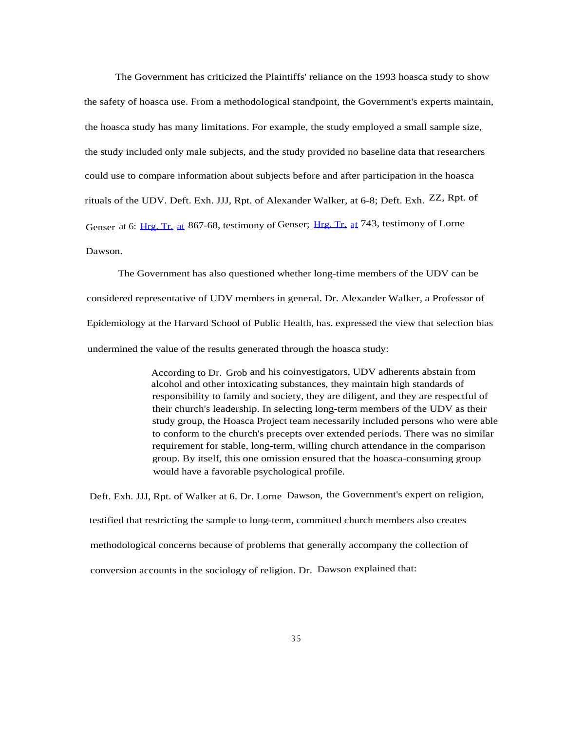The Government has criticized the Plaintiffs' reliance on the 1993 hoasca study to show the safety of hoasca use. From a methodological standpoint, the Government's experts maintain, the hoasca study has many limitations. For example, the study employed a small sample size, the study included only male subjects, and the study provided no baseline data that researchers could use to compare information about subjects before and after participation in the hoasca rituals of the UDV. Deft. Exh. JJJ, Rpt. of Alexander Walker, at 6-8; Deft. Exh. ZZ, Rpt. of Genser at 6: [Hrg. Tr.](http://Hrg.Tr.at) [at](http://Hrg.Tr.at) 867-68, testimony of Genser; Hrg. Tr. [a](http://Hrg.Tr.at)[t](http://Hrg.Tr.at) 743, testimony of Lorne Dawson.

The Government has also questioned whether long-time members of the UDV can be considered representative of UDV members in general. Dr. Alexander Walker, a Professor of Epidemiology at the Harvard School of Public Health, has. expressed the view that selection bias undermined the value of the results generated through the hoasca study:

> According to Dr. Grob and his coinvestigators, UDV adherents abstain from alcohol and other intoxicating substances, they maintain high standards of responsibility to family and society, they are diligent, and they are respectful of their church's leadership. In selecting long-term members of the UDV as their study group, the Hoasca Project team necessarily included persons who were able to conform to the church's precepts over extended periods. There was no similar requirement for stable, long-term, willing church attendance in the comparison group. By itself, this one omission ensured that the hoasca-consuming group would have a favorable psychological profile.

Deft. Exh. JJJ, Rpt. of Walker at 6. Dr. Lorne Dawson, the Government's expert on religion, testified that restricting the sample to long-term, committed church members also creates methodological concerns because of problems that generally accompany the collection of conversion accounts in the sociology of religion. Dr. Dawson explained that: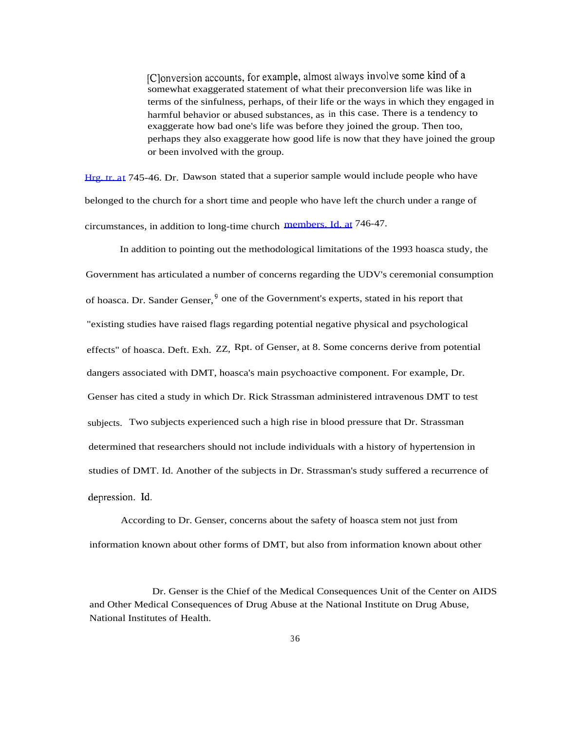[C]onversion accounts, for example, almost always involve some kind of a somewhat exaggerated statement of what their preconversion life was like in terms of the sinfulness, perhaps, of their life or the ways in which they engaged in harmful behavior or abused substances, as in this case. There is a tendency to exaggerate how bad one's life was before they joined the group. Then too, perhaps they also exaggerate how good life is now that they have joined the group or been involved with the group.

[Hrg. tr. at](http://Hrg.tr.at) 745-46. Dr. Dawson stated that a superior sample would include people who have belonged to the church for a short time and people who have left the church under a range of circumstances, in addition to long-time church [members. Id. at](http://members.Id.at) 746-47.

In addition to pointing out the methodological limitations of the 1993 hoasca study, the Government has articulated a number of concerns regarding the UDV's ceremonial consumption of hoasca. Dr. Sander Genser, <sup>9</sup> one of the Government's experts, stated in his report that "existing studies have raised flags regarding potential negative physical and psychological effects" of hoasca. Deft. Exh. ZZ, Rpt. of Genser, at 8. Some concerns derive from potential dangers associated with DMT, hoasca's main psychoactive component. For example, Dr. Genser has cited a study in which Dr. Rick Strassman administered intravenous DMT to test subjects. Two subjects experienced such a high rise in blood pressure that Dr. Strassman determined that researchers should not include individuals with a history of hypertension in studies of DMT. Id. Another of the subjects in Dr. Strassman's study suffered a recurrence of depression. Id.

According to Dr. Genser, concerns about the safety of hoasca stem not just from information known about other forms of DMT, but also from information known about other

Dr. Genser is the Chief of the Medical Consequences Unit of the Center on AIDS and Other Medical Consequences of Drug Abuse at the National Institute on Drug Abuse, National Institutes of Health.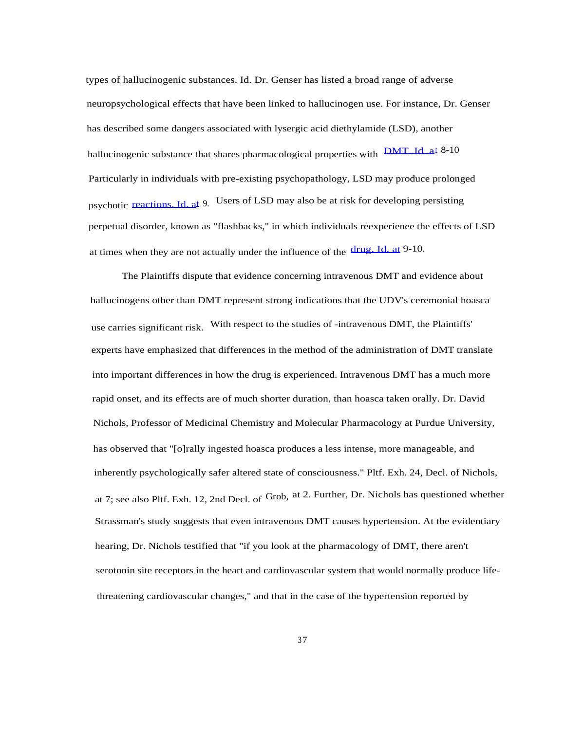types of hallucinogenic substances. Id. Dr. Genser has listed a broad range of adverse neuropsychological effects that have been linked to hallucinogen use. For instance, Dr. Genser has described some dangers associated with lysergic acid diethylamide (LSD), another hallucinogenic substance that shares pharmacological properties with **DMT.** Id. at 8-10 Particularly in individuals with pre-existing psychopathology, LSD may produce prolonged psychotic [reactions. Id. at](http://reactions.Id.at) 9. Users of LSD may also be at risk for developing persisting perpetual disorder, known as "flashbacks," in which individuals reexperienee the effects of LSD at times when they are not actually under the influence of the [drug. Id. at](http://drug.Id.at) 9-10.

The Plaintiffs dispute that evidence concerning intravenous DMT and evidence about hallucinogens other than DMT represent strong indications that the UDV's ceremonial hoasca use carries significant risk. With respect to the studies of -intravenous DMT, the Plaintiffs' experts have emphasized that differences in the method of the administration of DMT translate into important differences in how the drug is experienced. Intravenous DMT has a much more rapid onset, and its effects are of much shorter duration, than hoasca taken orally. Dr. David Nichols, Professor of Medicinal Chemistry and Molecular Pharmacology at Purdue University, has observed that "[o]rally ingested hoasca produces a less intense, more manageable, and inherently psychologically safer altered state of consciousness." Pltf. Exh. 24, Decl. of Nichols, at 7; see also Pltf. Exh. 12, 2nd Decl. of Grob, at 2. Further, Dr. Nichols has questioned whether Strassman's study suggests that even intravenous DMT causes hypertension. At the evidentiary hearing, Dr. Nichols testified that "if you look at the pharmacology of DMT, there aren't serotonin site receptors in the heart and cardiovascular system that would normally produce lifethreatening cardiovascular changes," and that in the case of the hypertension reported by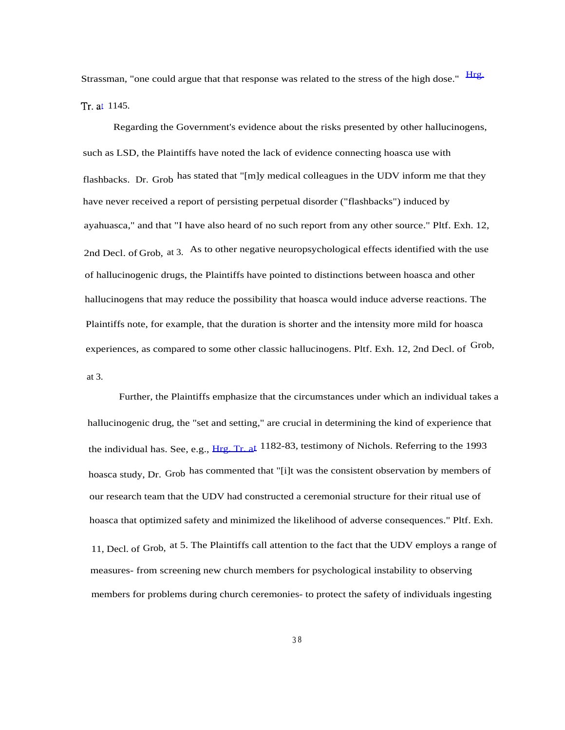Strassman, "one could argue that that response was related to the stress of the high dose." [Hrg.](http://Hrg.Tr.at) [Tr. at](http://Hrg.Tr.at) 1145.

Regarding the Government's evidence about the risks presented by other hallucinogens, such as LSD, the Plaintiffs have noted the lack of evidence connecting hoasca use with flashbacks. Dr. Grob has stated that "[m]y medical colleagues in the UDV inform me that they have never received a report of persisting perpetual disorder ("flashbacks") induced by ayahuasca," and that "I have also heard of no such report from any other source." Pltf. Exh. 12, 2nd Decl. of Grob, at 3. As to other negative neuropsychological effects identified with the use of hallucinogenic drugs, the Plaintiffs have pointed to distinctions between hoasca and other hallucinogens that may reduce the possibility that hoasca would induce adverse reactions. The Plaintiffs note, for example, that the duration is shorter and the intensity more mild for hoasca experiences, as compared to some other classic hallucinogens. Pltf. Exh. 12, 2nd Decl. of Grob, at 3.

Further, the Plaintiffs emphasize that the circumstances under which an individual takes a hallucinogenic drug, the "set and setting," are crucial in determining the kind of experience that the individual has. See, e.g., [Hrg. Tr. at](http://Hrg.Tr.at) 1182-83, testimony of Nichols. Referring to the 1993 hoasca study, Dr. Grob has commented that "[i]t was the consistent observation by members of our research team that the UDV had constructed a ceremonial structure for their ritual use of hoasca that optimized safety and minimized the likelihood of adverse consequences." Pltf. Exh. 11, Decl. of Grob, at 5. The Plaintiffs call attention to the fact that the UDV employs a range of measures- from screening new church members for psychological instability to observing members for problems during church ceremonies- to protect the safety of individuals ingesting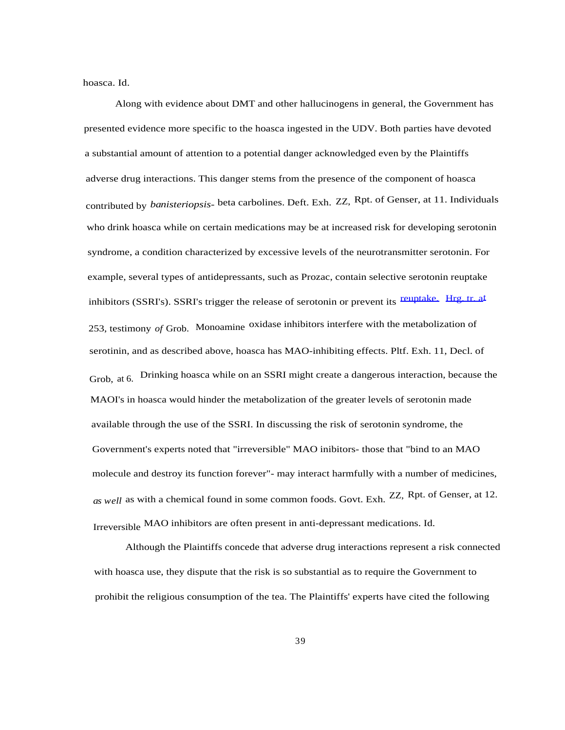hoasca. Id.

Along with evidence about DMT and other hallucinogens in general, the Government has presented evidence more specific to the hoasca ingested in the UDV. Both parties have devoted a substantial amount of attention to a potential danger acknowledged even by the Plaintiffs adverse drug interactions. This danger stems from the presence of the component of hoasca contributed by *banisteriopsis-* beta carbolines. Deft. Exh. ZZ, Rpt. of Genser, at 11. Individuals who drink hoasca while on certain medications may be at increased risk for developing serotonin syndrome, a condition characterized by excessive levels of the neurotransmitter serotonin. For example, several types of antidepressants, such as Prozac, contain selective serotonin reuptake inhibitors (SSRI's). SSRI's trigger the release of serotonin or prevent its [reuptake.](http://reuptake.Hrg.tr.at) [Hrg. tr. at](http://reuptake.Hrg.tr.at) 253, testimony *of* Grob. Monoamine oxidase inhibitors interfere with the metabolization of serotinin, and as described above, hoasca has MAO-inhibiting effects. Pltf. Exh. 11, Decl. of Grob, at 6. Drinking hoasca while on an SSRI might create a dangerous interaction, because the MAOI's in hoasca would hinder the metabolization of the greater levels of serotonin made available through the use of the SSRI. In discussing the risk of serotonin syndrome, the Government's experts noted that "irreversible" MAO inibitors- those that "bind to an MAO molecule and destroy its function forever"- may interact harmfully with a number of medicines, *as well* as with a chemical found in some common foods. Govt. Exh. ZZ, Rpt. of Genser, at 12. Irreversible MAO inhibitors are often present in anti-depressant medications. Id.

Although the Plaintiffs concede that adverse drug interactions represent a risk connected with hoasca use, they dispute that the risk is so substantial as to require the Government to prohibit the religious consumption of the tea. The Plaintiffs' experts have cited the following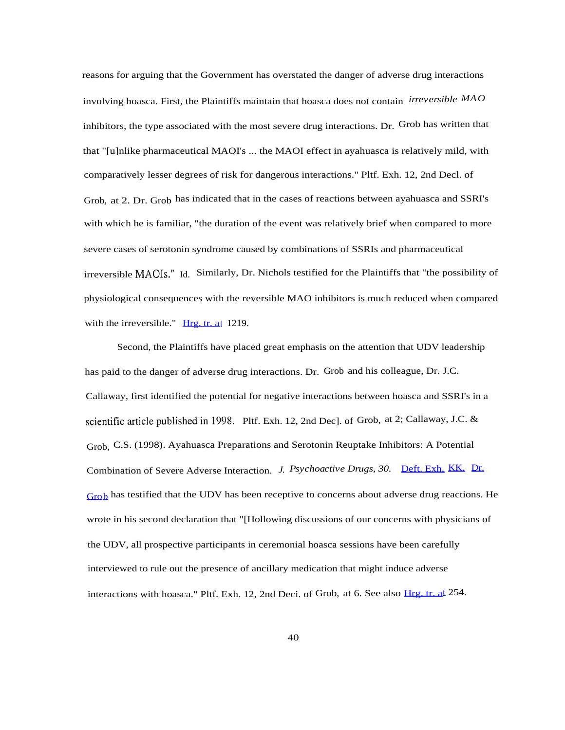reasons for arguing that the Government has overstated the danger of adverse drug interactions involving hoasca. First, the Plaintiffs maintain that hoasca does not contain *irreversible MAO* inhibitors, the type associated with the most severe drug interactions. Dr. Grob has written that that "[u]nlike pharmaceutical MAOI's ... the MAOI effect in ayahuasca is relatively mild, with comparatively lesser degrees of risk for dangerous interactions." Pltf. Exh. 12, 2nd Decl. of Grob, at 2. Dr. Grob has indicated that in the cases of reactions between ayahuasca and SSRI's with which he is familiar, "the duration of the event was relatively brief when compared to more severe cases of serotonin syndrome caused by combinations of SSRIs and pharmaceutical irreversible **MAOIs."** Id. Similarly, Dr. Nichols testified for the Plaintiffs that "the possibility of physiological consequences with the reversible MAO inhibitors is much reduced when compared with the irreversible." [Hrg. tr. at](http://Hrg.tr.at) 1219.

Second, the Plaintiffs have placed great emphasis on the attention that UDV leadership has paid to the danger of adverse drug interactions. Dr. Grob and his colleague, Dr. J.C. Callaway, first identified the potential for negative interactions between hoasca and SSRI's in a scientific article published in 1998. Pltf. Exh. 12, 2nd Dec]. of Grob, at 2; Callaway, J.C. & Grob, C.S. (1998). Ayahuasca Preparations and Serotonin Reuptake Inhibitors: A Potential Combination of Severe Adverse Interaction. *J. Psychoactive Drugs, 30.* [Deft. Exh.](http://Deft.Exh.KK.Dr.Grob) [KK.](http://Deft.Exh.KK.Dr.Grob) [Dr.](http://Deft.Exh.KK.Dr.Grob) [Grob](http://Deft.Exh.KK.Dr.Grob) has testified that the UDV has been receptive to concerns about adverse drug reactions. He wrote in his second declaration that "[Hollowing discussions of our concerns with physicians of the UDV, all prospective participants in ceremonial hoasca sessions have been carefully interviewed to rule out the presence of ancillary medication that might induce adverse interactions with hoasca." Pltf. Exh. 12, 2nd Deci. of Grob, at 6. See also [Hrg. tr. at](http://Hrg.tr.at) 254.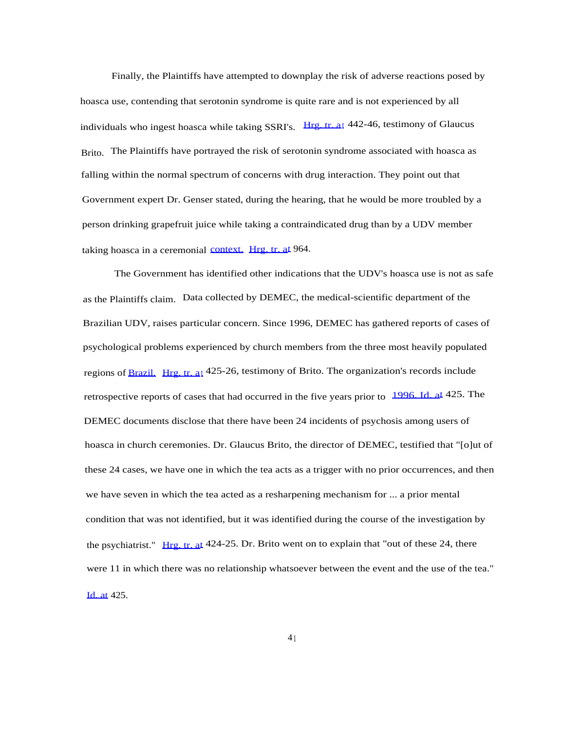Finally, the Plaintiffs have attempted to downplay the risk of adverse reactions posed by hoasca use, contending that serotonin syndrome is quite rare and is not experienced by all individuals who ingest hoasca while taking SSRI's. [Hrg. tr. a](http://Hrg.tr.at)[t](http://Hrg.tr.at) 442-46, testimony of Glaucus Brito. The Plaintiffs have portrayed the risk of serotonin syndrome associated with hoasca as falling within the normal spectrum of concerns with drug interaction. They point out that Government expert Dr. Genser stated, during the hearing, that he would be more troubled by a person drinking grapefruit juice while taking a contraindicated drug than by a UDV member taking hoasca in a ceremonial [context.](http://context.Hrg.tr.at) [Hrg. tr. at](http://context.Hrg.tr.at) 964.

The Government has identified other indications that the UDV's hoasca use is not as safe as the Plaintiffs claim. Data collected by DEMEC, the medical-scientific department of the Brazilian UDV, raises particular concern. Since 1996, DEMEC has gathered reports of cases of psychological problems experienced by church members from the three most heavily populated regions of [Brazil.](http://Brazil.Hrg.tr.at) [Hrg. tr. a](http://Brazil.Hrg.tr.at)[t](http://Brazil.Hrg.tr.at) 425-26, testimony of Brito. The organization's records include retrospective reports of cases that had occurred in the five years prior to [1996. Id. at](http://1996.Id.at) 425. The DEMEC documents disclose that there have been 24 incidents of psychosis among users of hoasca in church ceremonies. Dr. Glaucus Brito, the director of DEMEC, testified that "[o]ut of these 24 cases, we have one in which the tea acts as a trigger with no prior occurrences, and then we have seven in which the tea acted as a resharpening mechanism for ... a prior mental condition that was not identified, but it was identified during the course of the investigation by the psychiatrist." [Hrg. tr. at](http://Hrg.tr.at)  $424-25$ . Dr. Brito went on to explain that "out of these 24, there were 11 in which there was no relationship whatsoever between the event and the use of the tea." [Id. at](http://Id.at) 425.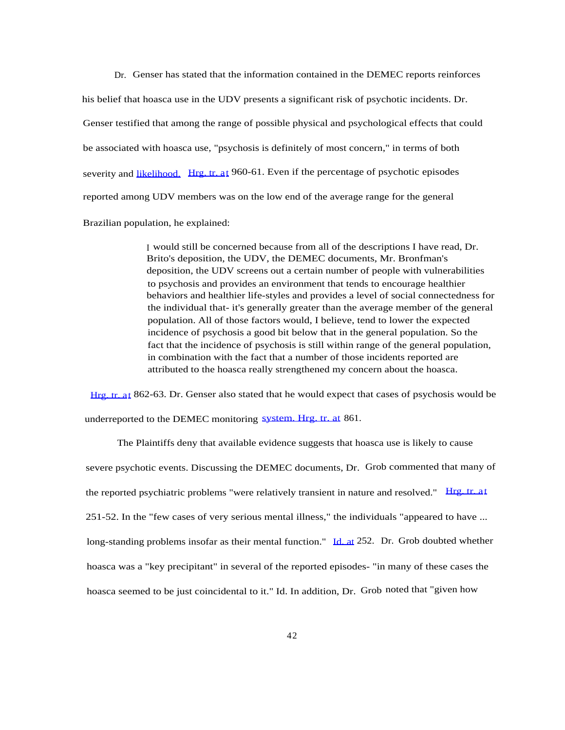Dr. Genser has stated that the information contained in the DEMEC reports reinforces

his belief that hoasca use in the UDV presents a significant risk of psychotic incidents. Dr. Genser testified that among the range of possible physical and psychological effects that could be associated with hoasca use, "psychosis is definitely of most concern," in terms of both severity and [likelihood.](http://likelihood.Hrg.tr.at) [Hrg. tr. at](http://likelihood.Hrg.tr.at) 960-61. Even if the percentage of psychotic episodes reported among UDV members was on the low end of the average range for the general

Brazilian population, he explained:

I would still be concerned because from all of the descriptions I have read, Dr. Brito's deposition, the UDV, the DEMEC documents, Mr. Bronfman's deposition, the UDV screens out a certain number of people with vulnerabilities to psychosis and provides an environment that tends to encourage healthier behaviors and healthier life-styles and provides a level of social connectedness for the individual that- it's generally greater than the average member of the general population. All of those factors would, I believe, tend to lower the expected incidence of psychosis a good bit below that in the general population. So the fact that the incidence of psychosis is still within range of the general population, in combination with the fact that a number of those incidents reported are attributed to the hoasca really strengthened my concern about the hoasca.

[Hrg. tr. at](http://Hrg.tr.at) 862-63. Dr. Genser also stated that he would expect that cases of psychosis would be underreported to the DEMEC monitoring [system. Hrg. tr. at](http://system.Hrg.tr.at) 861.

The Plaintiffs deny that available evidence suggests that hoasca use is likely to cause severe psychotic events. Discussing the DEMEC documents, Dr. Grob commented that many of the reported psychiatric problems "were relatively transient in nature and resolved." [Hrg. tr. a](http://Hrg.tr.at)[t](http://Hrg.tr.at) 251-52. In the "few cases of very serious mental illness," the individuals "appeared to have ... long-standing problems insofar as their mental function." [Id. at](http://Id.at) 252. Dr. Grob doubted whether hoasca was a "key precipitant" in several of the reported episodes- "in many of these cases the hoasca seemed to be just coincidental to it." Id. In addition, Dr. Grob noted that "given how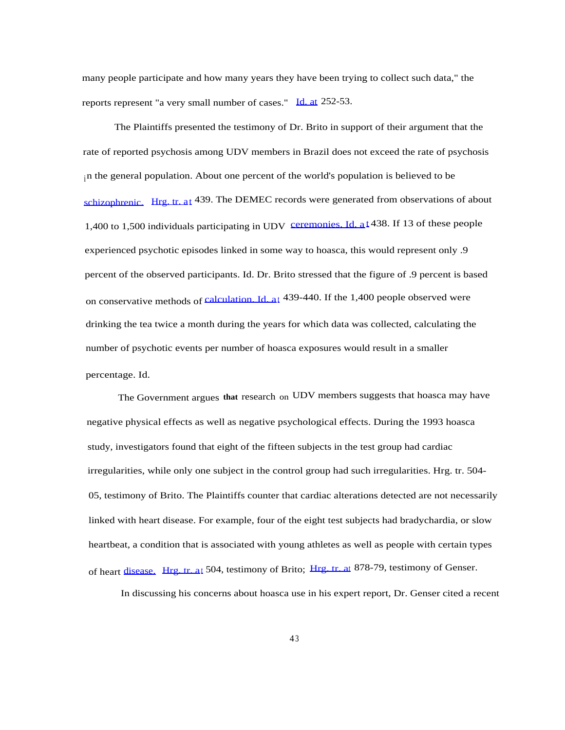many people participate and how many years they have been trying to collect such data," the reports represent "a very small number of cases." [Id. at](http://Id.at) 252-53.

The Plaintiffs presented the testimony of Dr. Brito in support of their argument that the rate of reported psychosis among UDV members in Brazil does not exceed the rate of psychosis in the general population. About one percent of the world's population is believed to be [schizophrenic.](http://schizophrenic.Hrg.tr.at) [Hrg. tr. at](http://schizophrenic.Hrg.tr.at) 439. The DEMEC records were generated from observations of about 1,400 to 1,500 individuals participating in UDV [ceremonies. Id. a](http://ceremonies.Id.at)[t](http://ceremonies.Id.at) 438. If 13 of these people experienced psychotic episodes linked in some way to hoasca, this would represent only .9 percent of the observed participants. Id. Dr. Brito stressed that the figure of .9 percent is based on conservative methods of [calculation. Id. a](http://calculation.Id.at)[t](http://calculation.Id.at) 439-440. If the 1,400 people observed were drinking the tea twice a month during the years for which data was collected, calculating the number of psychotic events per number of hoasca exposures would result in a smaller percentage. Id.

The Government argues **that** research on UDV members suggests that hoasca may have negative physical effects as well as negative psychological effects. During the 1993 hoasca study, investigators found that eight of the fifteen subjects in the test group had cardiac irregularities, while only one subject in the control group had such irregularities. Hrg. tr. 504- 05, testimony of Brito. The Plaintiffs counter that cardiac alterations detected are not necessarily linked with heart disease. For example, four of the eight test subjects had bradychardia, or slow heartbeat, a condition that is associated with young athletes as well as people with certain types of heart [disease.](http://disease.Hrg.tr.at) [Hrg. tr. a](http://disease.Hrg.tr.at)[t](http://disease.Hrg.tr.at) 504, testimony of Brito; [Hrg. tr. at](http://Hrg.tr.at) 878-79, testimony of Genser.

In discussing his concerns about hoasca use in his expert report, Dr. Genser cited a recent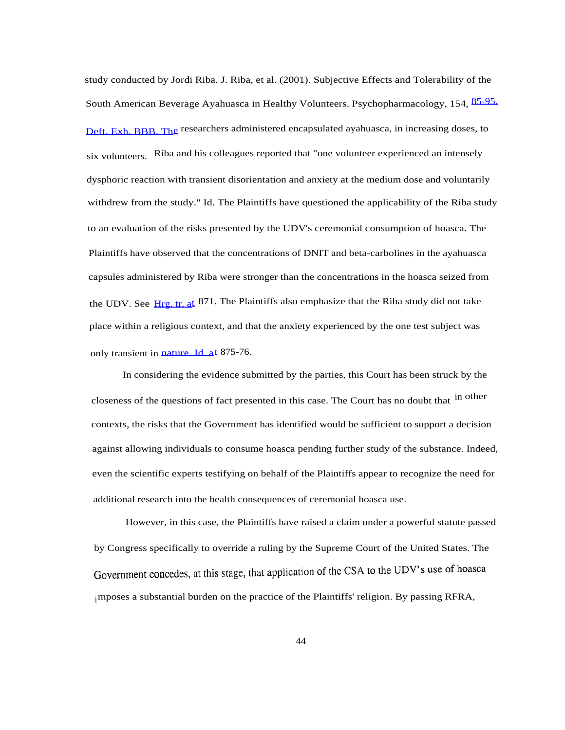study conducted by Jordi Riba. J. Riba, et al. (2001). Subjective Effects and Tolerability of the South American Beverage Ayahuasca in Healthy Volunteers. Psychopharmacology, 154, [85-95.](http://85-95.Deft.Exh.BBB.The) [Deft. Exh. BBB. The](http://85-95.Deft.Exh.BBB.The) researchers administered encapsulated ayahuasca, in increasing doses, to six volunteers. Riba and his colleagues reported that "one volunteer experienced an intensely dysphoric reaction with transient disorientation and anxiety at the medium dose and voluntarily withdrew from the study." Id. The Plaintiffs have questioned the applicability of the Riba study to an evaluation of the risks presented by the UDV's ceremonial consumption of hoasca. The Plaintiffs have observed that the concentrations of DNIT and beta-carbolines in the ayahuasca capsules administered by Riba were stronger than the concentrations in the hoasca seized from the UDV. See [Hrg. tr. at](http://Hrg.tr.at) 871. The Plaintiffs also emphasize that the Riba study did not take place within a religious context, and that the anxiety experienced by the one test subject was only transient in [nature. Id. at](http://nature.Id.at) 875-76.

In considering the evidence submitted by the parties, this Court has been struck by the closeness of the questions of fact presented in this case. The Court has no doubt that in other contexts, the risks that the Government has identified would be sufficient to support a decision against allowing individuals to consume hoasca pending further study of the substance. Indeed, even the scientific experts testifying on behalf of the Plaintiffs appear to recognize the need for additional research into the health consequences of ceremonial hoasca use.

However, in this case, the Plaintiffs have raised a claim under a powerful statute passed by Congress specifically to override a ruling by the Supreme Court of the United States. The Government concedes, at this stage, that application of the CSA to the UDV's use of hoasca imposes a substantial burden on the practice of the Plaintiffs' religion. By passing RFRA,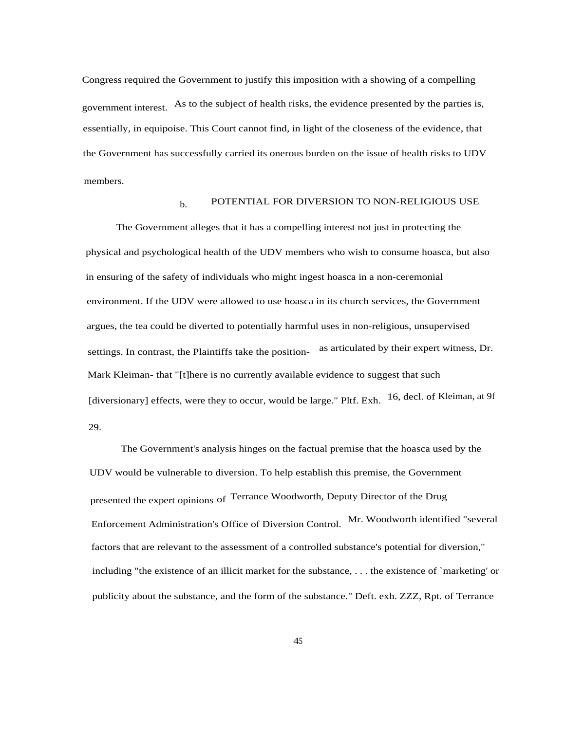Congress required the Government to justify this imposition with a showing of a compelling government interest. As to the subject of health risks, the evidence presented by the parties is, essentially, in equipoise. This Court cannot find, in light of the closeness of the evidence, that the Government has successfully carried its onerous burden on the issue of health risks to UDV members.

#### $b.$  POTENTIAL FOR DIVERSION TO NON-RELIGIOUS USE

The Government alleges that it has a compelling interest not just in protecting the physical and psychological health of the UDV members who wish to consume hoasca, but also in ensuring of the safety of individuals who might ingest hoasca in a non-ceremonial environment. If the UDV were allowed to use hoasca in its church services, the Government argues, the tea could be diverted to potentially harmful uses in non-religious, unsupervised settings. In contrast, the Plaintiffs take the position- as articulated by their expert witness, Dr. Mark Kleiman- that "[t]here is no currently available evidence to suggest that such [diversionary] effects, were they to occur, would be large." Pltf. Exh. 16, decl. of Kleiman, at 9f 29.

The Government's analysis hinges on the factual premise that the hoasca used by the UDV would be vulnerable to diversion. To help establish this premise, the Government presented the expert opinions of Terrance Woodworth, Deputy Director of the Drug Enforcement Administration's Office of Diversion Control. Mr. Woodworth identified "several factors that are relevant to the assessment of a controlled substance's potential for diversion," including "the existence of an illicit market for the substance, . . . the existence of `marketing' or publicity about the substance, and the form of the substance." Deft. exh. ZZZ, Rpt. of Terrance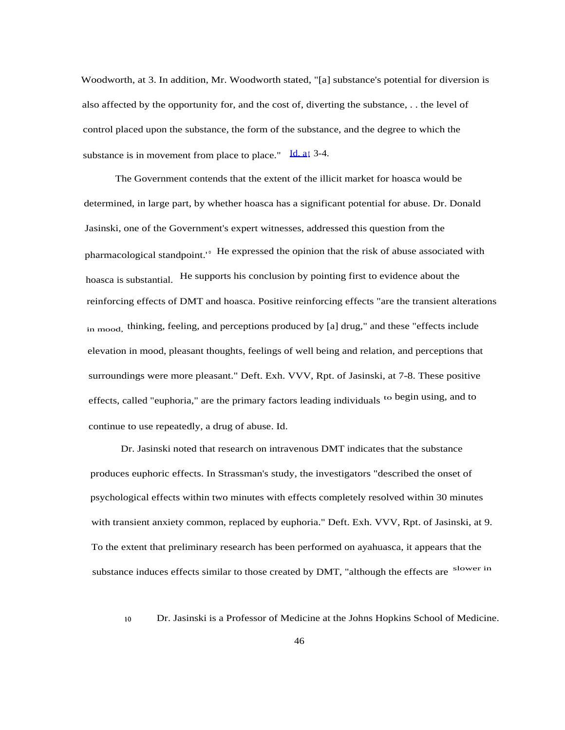Woodworth, at 3. In addition, Mr. Woodworth stated, "[a] substance's potential for diversion is also affected by the opportunity for, and the cost of, diverting the substance, . . the level of control placed upon the substance, the form of the substance, and the degree to which the substance is in movement from place to place." [Id. at](http://Id.at) 3-4.

The Government contends that the extent of the illicit market for hoasca would be determined, in large part, by whether hoasca has a significant potential for abuse. Dr. Donald Jasinski, one of the Government's expert witnesses, addressed this question from the pharmacological standpoint.<sup>10</sup> He expressed the opinion that the risk of abuse associated with hoasca is substantial. He supports his conclusion by pointing first to evidence about the reinforcing effects of DMT and hoasca. Positive reinforcing effects "are the transient alterations in mood, thinking, feeling, and perceptions produced by [a] drug," and these "effects include elevation in mood, pleasant thoughts, feelings of well being and relation, and perceptions that surroundings were more pleasant." Deft. Exh. VVV, Rpt. of Jasinski, at 7-8. These positive effects, called "euphoria," are the primary factors leading individuals to begin using, and to continue to use repeatedly, a drug of abuse. Id.

Dr. Jasinski noted that research on intravenous DMT indicates that the substance produces euphoric effects. In Strassman's study, the investigators "described the onset of psychological effects within two minutes with effects completely resolved within 30 minutes with transient anxiety common, replaced by euphoria." Deft. Exh. VVV, Rpt. of Jasinski, at 9. To the extent that preliminary research has been performed on ayahuasca, it appears that the substance induces effects similar to those created by DMT, "although the effects are slower in

io Dr. Jasinski is a Professor of Medicine at the Johns Hopkins School of Medicine.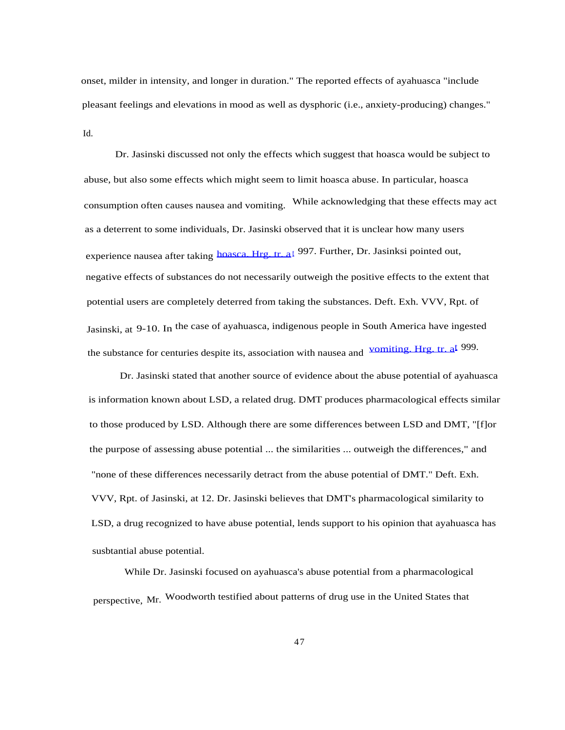onset, milder in intensity, and longer in duration." The reported effects of ayahuasca "include pleasant feelings and elevations in mood as well as dysphoric (i.e., anxiety-producing) changes." Id.

Dr. Jasinski discussed not only the effects which suggest that hoasca would be subject to abuse, but also some effects which might seem to limit hoasca abuse. In particular, hoasca consumption often causes nausea and vomiting. While acknowledging that these effects may act as a deterrent to some individuals, Dr. Jasinski observed that it is unclear how many users experience nausea after taking [hoasca. Hrg. tr. a](http://hoasca.Hrg.tr.at)[t](http://hoasca.Hrg.tr.at) 997. Further, Dr. Jasinksi pointed out, negative effects of substances do not necessarily outweigh the positive effects to the extent that potential users are completely deterred from taking the substances. Deft. Exh. VVV, Rpt. of Jasinski, at 9-10. In the case of ayahuasca, indigenous people in South America have ingested the substance for centuries despite its, association with nausea and [vomiting. Hrg. tr. at](http://vomiting.Hrg.tr.at) 999.

Dr. Jasinski stated that another source of evidence about the abuse potential of ayahuasca is information known about LSD, a related drug. DMT produces pharmacological effects similar to those produced by LSD. Although there are some differences between LSD and DMT, "[f]or the purpose of assessing abuse potential ... the similarities ... outweigh the differences," and "none of these differences necessarily detract from the abuse potential of DMT." Deft. Exh. VVV, Rpt. of Jasinski, at 12. Dr. Jasinski believes that DMT's pharmacological similarity to LSD, a drug recognized to have abuse potential, lends support to his opinion that ayahuasca has susbtantial abuse potential.

While Dr. Jasinski focused on ayahuasca's abuse potential from a pharmacological perspective, Mr. Woodworth testified about patterns of drug use in the United States that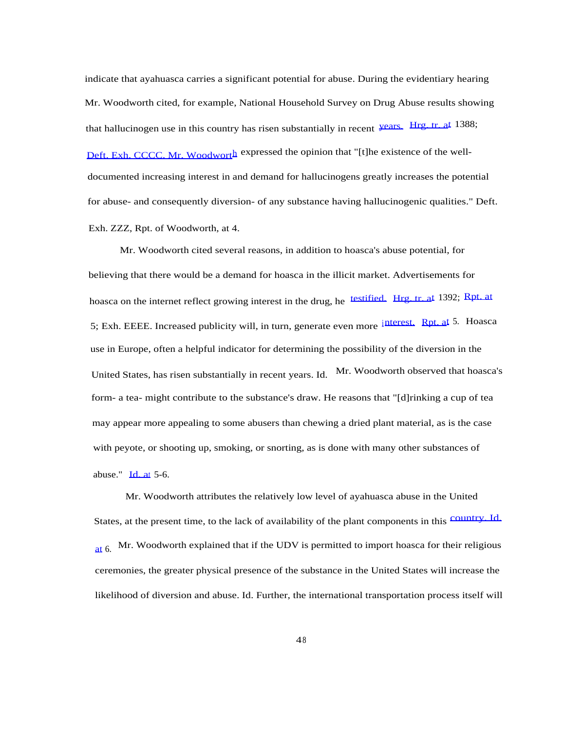indicate that ayahuasca carries a significant potential for abuse. During the evidentiary hearing Mr. Woodworth cited, for example, National Household Survey on Drug Abuse results showing that hallucinogen use in this country has risen substantially in recent [years.](http://years.Hrg.tr.at) [Hrg. tr. at](http://years.Hrg.tr.at) 1388; [Deft. Exh. CCCC. Mr. Woodworth](http://Deft.Exh.CCCC.Mr.Woodworth) expressed the opinion that "[t]he existence of the welldocumented increasing interest in and demand for hallucinogens greatly increases the potential for abuse- and consequently diversion- of any substance having hallucinogenic qualities." Deft. Exh. ZZZ, Rpt. of Woodworth, at 4.

Mr. Woodworth cited several reasons, in addition to hoasca's abuse potential, for believing that there would be a demand for hoasca in the illicit market. Advertisements for hoasca on the internet reflect growing interest in the drug, he [testified.](http://testified.Hrg.tr.at) [Hrg. tr. at](http://testified.Hrg.tr.at) 1392; [Rpt. at](http://Rpt.at) 5; Exh. EEEE. Increased publicity will, in turn, generate even more [interest.](http://interest.Rpt.at) [Rpt. at](http://interest.Rpt.at) 5. Hoasca use in Europe, often a helpful indicator for determining the possibility of the diversion in the United States, has risen substantially in recent years. Id. Mr. Woodworth observed that hoasca's form- a tea- might contribute to the substance's draw. He reasons that "[d]rinking a cup of tea may appear more appealing to some abusers than chewing a dried plant material, as is the case with peyote, or shooting up, smoking, or snorting, as is done with many other substances of abuse."  $\text{Id}$  at 5-6.

Mr. Woodworth attributes the relatively low level of ayahuasca abuse in the United States, at the present time, to the lack of availability of the plant components in this [country. Id.](http://country.Id.at) [at](http://country.Id.at)  $6.$  Mr. Woodworth explained that if the UDV is permitted to import hoasca for their religious ceremonies, the greater physical presence of the substance in the United States will increase the likelihood of diversion and abuse. Id. Further, the international transportation process itself will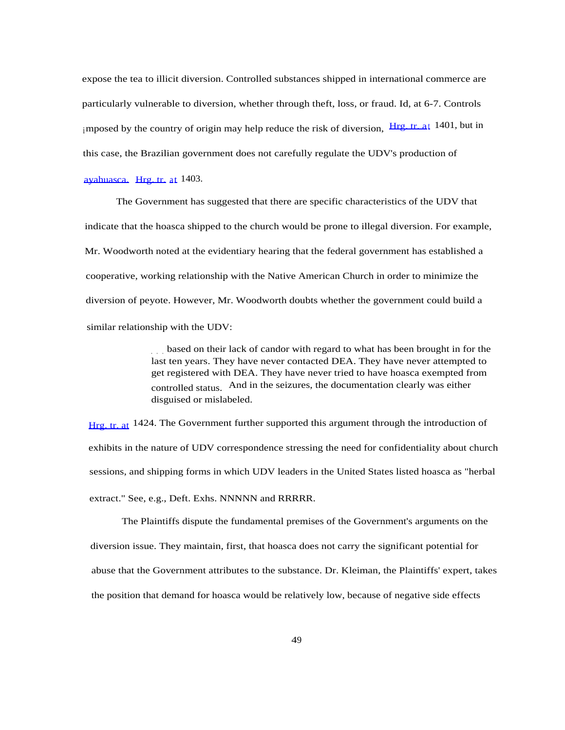expose the tea to illicit diversion. Controlled substances shipped in international commerce are particularly vulnerable to diversion, whether through theft, loss, or fraud. Id, at 6-7. Controls imposed by [t](http://Hrg.tr.at)he country of origin may help reduce the risk of diversion,  $Hrg.$  tr. at 1401, but in this case, the Brazilian government does not carefully regulate the UDV's production of

[ayahuasca.](http://ayahuasca.Hrg.tr.at) [Hrg. tr.](http://ayahuasca.Hrg.tr.at) [a](http://ayahuasca.Hrg.tr.at)[t](http://ayahuasca.Hrg.tr.at) 1403.

The Government has suggested that there are specific characteristics of the UDV that indicate that the hoasca shipped to the church would be prone to illegal diversion. For example, Mr. Woodworth noted at the evidentiary hearing that the federal government has established a cooperative, working relationship with the Native American Church in order to minimize the diversion of peyote. However, Mr. Woodworth doubts whether the government could build a similar relationship with the UDV:

> . . . based on their lack of candor with regard to what has been brought in for the last ten years. They have never contacted DEA. They have never attempted to get registered with DEA. They have never tried to have hoasca exempted from controlled status. And in the seizures, the documentation clearly was either disguised or mislabeled.

[Hrg. tr. at](http://Hrg.tr.at) <sup>1424</sup>. The Government further supported this argument through the introduction of exhibits in the nature of UDV correspondence stressing the need for confidentiality about church sessions, and shipping forms in which UDV leaders in the United States listed hoasca as "herbal extract." See, e.g., Deft. Exhs. NNNNN and RRRRR.

The Plaintiffs dispute the fundamental premises of the Government's arguments on the diversion issue. They maintain, first, that hoasca does not carry the significant potential for abuse that the Government attributes to the substance. Dr. Kleiman, the Plaintiffs' expert, takes the position that demand for hoasca would be relatively low, because of negative side effects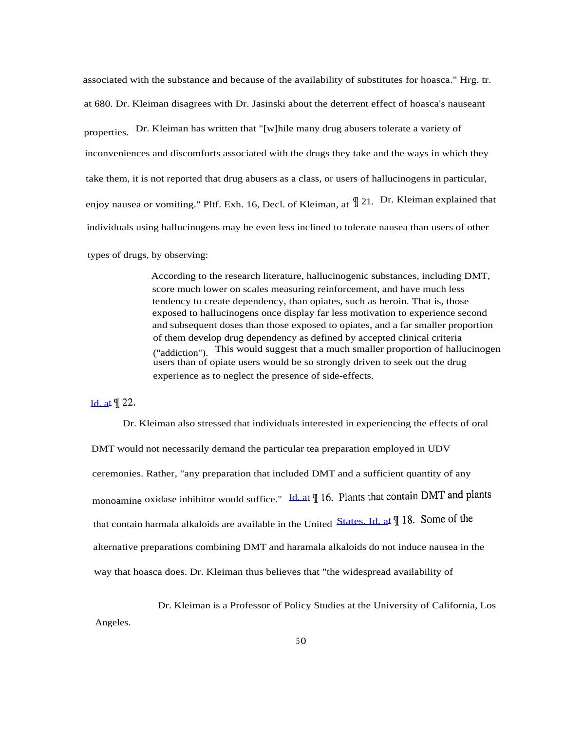associated with the substance and because of the availability of substitutes for hoasca." Hrg. tr. at 680. Dr. Kleiman disagrees with Dr. Jasinski about the deterrent effect of hoasca's nauseant properties. Dr. Kleiman has written that "[w]hile many drug abusers tolerate a variety of inconveniences and discomforts associated with the drugs they take and the ways in which they take them, it is not reported that drug abusers as a class, or users of hallucinogens in particular, enjoy nausea or vomiting." Pltf. Exh. 16, Decl. of Kleiman, at  $\parallel$  21. Dr. Kleiman explained that individuals using hallucinogens may be even less inclined to tolerate nausea than users of other

types of drugs, by observing:

According to the research literature, hallucinogenic substances, including DMT, score much lower on scales measuring reinforcement, and have much less tendency to create dependency, than opiates, such as heroin. That is, those exposed to hallucinogens once display far less motivation to experience second and subsequent doses than those exposed to opiates, and a far smaller proportion of them develop drug dependency as defined by accepted clinical criteria ("addiction"). This would suggest that a much smaller proportion of hallucinogen users than of opiate users would be so strongly driven to seek out the drug experience as to neglect the presence of side-effects.

[Id. at](http://Id.at)  $\oint$  22.

Dr. Kleiman also stressed that individuals interested in experiencing the effects of oral DMT would not necessarily demand the particular tea preparation employed in UDV ceremonies. Rather, "any preparation that included DMT and a sufficient quantity of any monoamine oxidase inhibitor would suffice." [Id. at](http://Id.at)  $\P$  16. Plants that contain DMT and plants that contain harmala alkaloids are available in the United [States. Id. at](http://States.Id.at)  $\parallel$  18. Some of the alternative preparations combining DMT and haramala alkaloids do not induce nausea in the way that hoasca does. Dr. Kleiman thus believes that "the widespread availability of

Dr. Kleiman is a Professor of Policy Studies at the University of California, Los Angeles.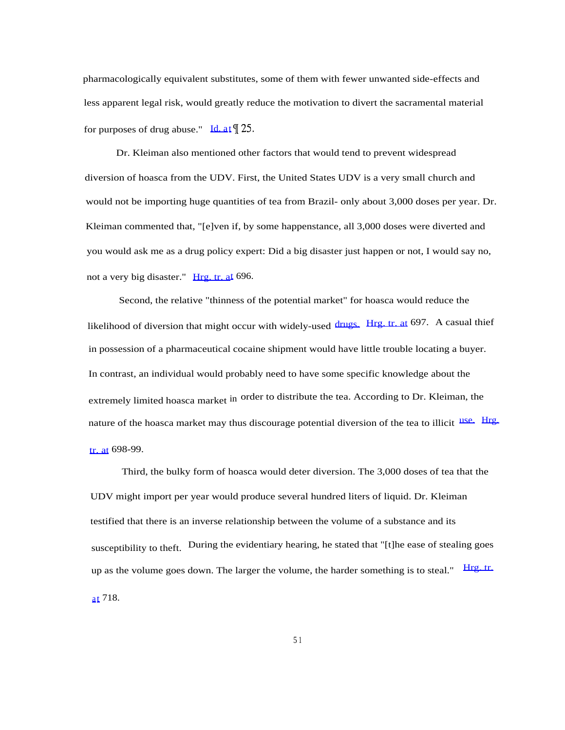pharmacologically equivalent substitutes, some of them with fewer unwanted side-effects and less apparent legal risk, would greatly reduce the motivation to divert the sacramental material for purposes of drug abuse." [Id. at](http://Id.at)  $\llbracket 25$ .

Dr. Kleiman also mentioned other factors that would tend to prevent widespread diversion of hoasca from the UDV. First, the United States UDV is a very small church and would not be importing huge quantities of tea from Brazil- only about 3,000 doses per year. Dr. Kleiman commented that, "[e]ven if, by some happenstance, all 3,000 doses were diverted and you would ask me as a drug policy expert: Did a big disaster just happen or not, I would say no, not a very big disaster." [Hrg. tr. at](http://Hrg.tr.at) 696.

Second, the relative "thinness of the potential market" for hoasca would reduce the likelihood of diversion that might occur with widely-used [drugs.](http://drugs.Hrg.tr.at) [Hrg. tr. at](http://drugs.Hrg.tr.at) 697. A casual thief in possession of a pharmaceutical cocaine shipment would have little trouble locating a buyer. In contrast, an individual would probably need to have some specific knowledge about the extremely limited hoasca market in order to distribute the tea. According to Dr. Kleiman, the nature of the hoasca market may thus discourage potential diversion of the tea to illicit [use.](http://use.Hrg.tr.at) [Hrg.](http://use.Hrg.tr.at) [tr. at](http://use.Hrg.tr.at) 698-99.

Third, the bulky form of hoasca would deter diversion. The 3,000 doses of tea that the UDV might import per year would produce several hundred liters of liquid. Dr. Kleiman testified that there is an inverse relationship between the volume of a substance and its susceptibility to theft. During the evidentiary hearing, he stated that "[t]he ease of stealing goes up as the volume goes down. The larger the volume, the harder something is to steal." [Hrg. tr.](http://Hrg.tr.at) [a](http://Hrg.tr.at)[t](http://Hrg.tr.at) 718.

5 1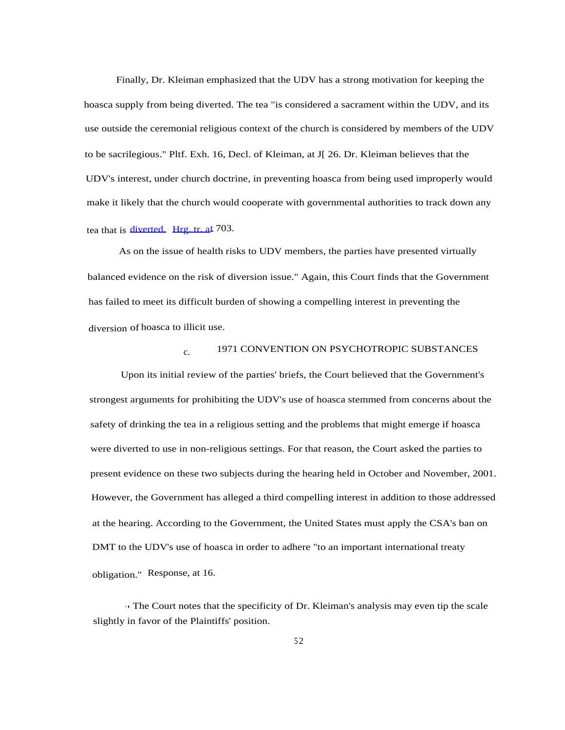Finally, Dr. Kleiman emphasized that the UDV has a strong motivation for keeping the hoasca supply from being diverted. The tea "is considered a sacrament within the UDV, and its use outside the ceremonial religious context of the church is considered by members of the UDV to be sacrilegious." Pltf. Exh. 16, Decl. of Kleiman, at J[ 26. Dr. Kleiman believes that the UDV's interest, under church doctrine, in preventing hoasca from being used improperly would make it likely that the church would cooperate with governmental authorities to track down any tea that is [diverted.](http://diverted.Hrg.tr.at) [Hrg. tr. at](http://diverted.Hrg.tr.at) 703.

As on the issue of health risks to UDV members, the parties have presented virtually balanced evidence on the risk of diversion issue." Again, this Court finds that the Government has failed to meet its difficult burden of showing a compelling interest in preventing the diversion of hoasca to illicit use.

## c. 1971 CONVENTION ON PSYCHOTROPIC SUBSTANCES

Upon its initial review of the parties' briefs, the Court believed that the Government's strongest arguments for prohibiting the UDV's use of hoasca stemmed from concerns about the safety of drinking the tea in a religious setting and the problems that might emerge if hoasca were diverted to use in non-religious settings. For that reason, the Court asked the parties to present evidence on these two subjects during the hearing held in October and November, 2001. However, the Government has alleged a third compelling interest in addition to those addressed at the hearing. According to the Government, the United States must apply the CSA's ban on DMT to the UDV's use of hoasca in order to adhere "to an important international treaty obligation." Response, at 16.

' ' The Court notes that the specificity of Dr. Kleiman's analysis may even tip the scale slightly in favor of the Plaintiffs' position.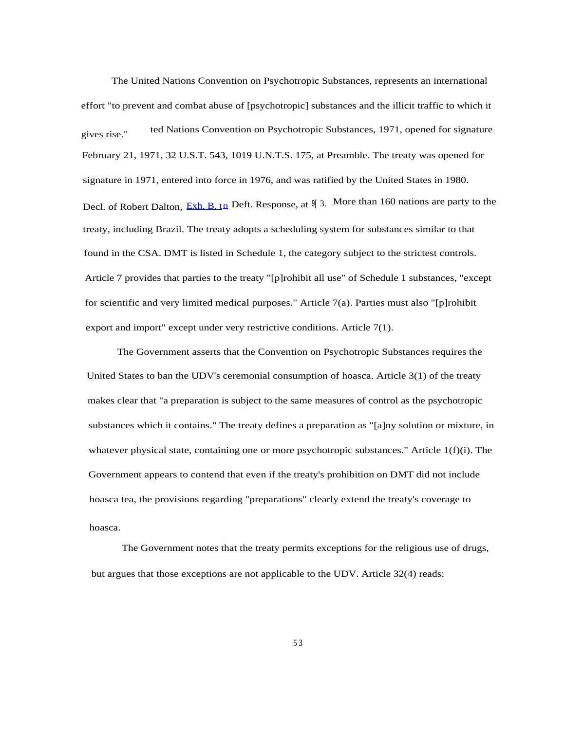The United Nations Convention on Psychotropic Substances, represents an international effort "to prevent and combat abuse of [psychotropic] substances and the illicit traffic to which it ted Nations Convention on Psychotropic Substances, 1971, opened for signature gives rise." February 21, 1971, 32 U.S.T. 543, 1019 U.N.T.S. 175, at Preamble. The treaty was opened for signature in 1971, entered into force in 1976, and was ratified by the United States in 1980. Decl. of Robert Dalton, [Exh. B. to](http://Exh.B.to) Deft. Response, at  $\mathcal{Y}$  3. More than 160 nations are party to the treaty, including Brazil. The treaty adopts a scheduling system for substances similar to that found in the CSA. DMT is listed in Schedule 1, the category subject to the strictest controls. Article 7 provides that parties to the treaty "[p]rohibit all use" of Schedule 1 substances, "except for scientific and very limited medical purposes." Article 7(a). Parties must also "[p]rohibit export and import" except under very restrictive conditions. Article 7(1).

The Government asserts that the Convention on Psychotropic Substances requires the United States to ban the UDV's ceremonial consumption of hoasca. Article 3(1) of the treaty makes clear that "a preparation is subject to the same measures of control as the psychotropic substances which it contains." The treaty defines a preparation as "[a]ny solution or mixture, in whatever physical state, containing one or more psychotropic substances." Article 1(f)(i). The Government appears to contend that even if the treaty's prohibition on DMT did not include hoasca tea, the provisions regarding "preparations" clearly extend the treaty's coverage to hoasca.

The Government notes that the treaty permits exceptions for the religious use of drugs, but argues that those exceptions are not applicable to the UDV. Article 32(4) reads: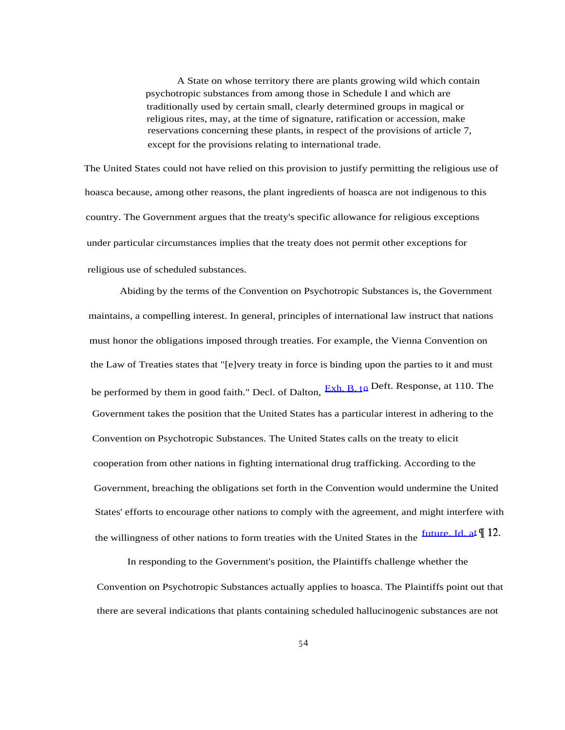A State on whose territory there are plants growing wild which contain psychotropic substances from among those in Schedule I and which are traditionally used by certain small, clearly determined groups in magical or religious rites, may, at the time of signature, ratification or accession, make reservations concerning these plants, in respect of the provisions of article 7, except for the provisions relating to international trade.

The United States could not have relied on this provision to justify permitting the religious use of hoasca because, among other reasons, the plant ingredients of hoasca are not indigenous to this country. The Government argues that the treaty's specific allowance for religious exceptions under particular circumstances implies that the treaty does not permit other exceptions for religious use of scheduled substances.

Abiding by the terms of the Convention on Psychotropic Substances is, the Government maintains, a compelling interest. In general, principles of international law instruct that nations must honor the obligations imposed through treaties. For example, the Vienna Convention on the Law of Treaties states that "[e]very treaty in force is binding upon the parties to it and must be performed by them in good faith." Decl. of Dalton,  $Exh$ ,  $B_t \phi$  Deft. Response, at 110. The Government takes the position that the United States has a particular interest in adhering to the Convention on Psychotropic Substances. The United States calls on the treaty to elicit cooperation from other nations in fighting international drug trafficking. According to the Government, breaching the obligations set forth in the Convention would undermine the United States' efforts to encourage other nations to comply with the agreement, and might interfere with the willingness of other nations to form treaties with the United States in the  $\frac{future\_Id. at \textcolor{red}{\textbf{I}}}{12}$ .

In responding to the Government's position, the Plaintiffs challenge whether the Convention on Psychotropic Substances actually applies to hoasca. The Plaintiffs point out that there are several indications that plants containing scheduled hallucinogenic substances are not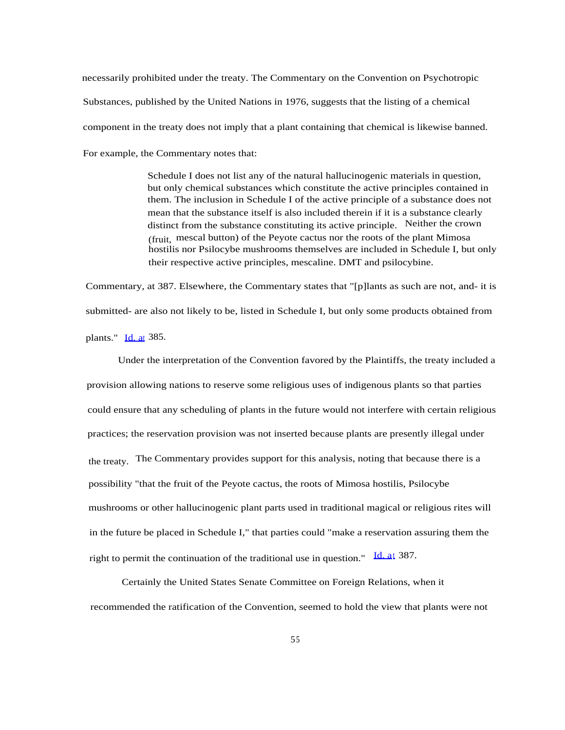necessarily prohibited under the treaty. The Commentary on the Convention on Psychotropic Substances, published by the United Nations in 1976, suggests that the listing of a chemical component in the treaty does not imply that a plant containing that chemical is likewise banned. For example, the Commentary notes that:

> Schedule I does not list any of the natural hallucinogenic materials in question, but only chemical substances which constitute the active principles contained in them. The inclusion in Schedule I of the active principle of a substance does not mean that the substance itself is also included therein if it is a substance clearly distinct from the substance constituting its active principle. Neither the crown (fruit, mescal button) of the Peyote cactus nor the roots of the plant Mimosa hostilis nor Psilocybe mushrooms themselves are included in Schedule I, but only their respective active principles, mescaline. DMT and psilocybine.

Commentary, at 387. Elsewhere, the Commentary states that "[p]lants as such are not, and- it is submitted- are also not likely to be, listed in Schedule I, but only some products obtained from plants." [Id. at](http://Id.at) 385.

Under the interpretation of the Convention favored by the Plaintiffs, the treaty included a provision allowing nations to reserve some religious uses of indigenous plants so that parties could ensure that any scheduling of plants in the future would not interfere with certain religious practices; the reservation provision was not inserted because plants are presently illegal under the treaty. The Commentary provides support for this analysis, noting that because there is a possibility "that the fruit of the Peyote cactus, the roots of Mimosa hostilis, Psilocybe mushrooms or other hallucinogenic plant parts used in traditional magical or religious rites will in the future be placed in Schedule I," that parties could "make a reservation assuring them the right to permit the continuation of the traditional use in question." [Id. at](http://Id.at) 387.

Certainly the United States Senate Committee on Foreign Relations, when it recommended the ratification of the Convention, seemed to hold the view that plants were not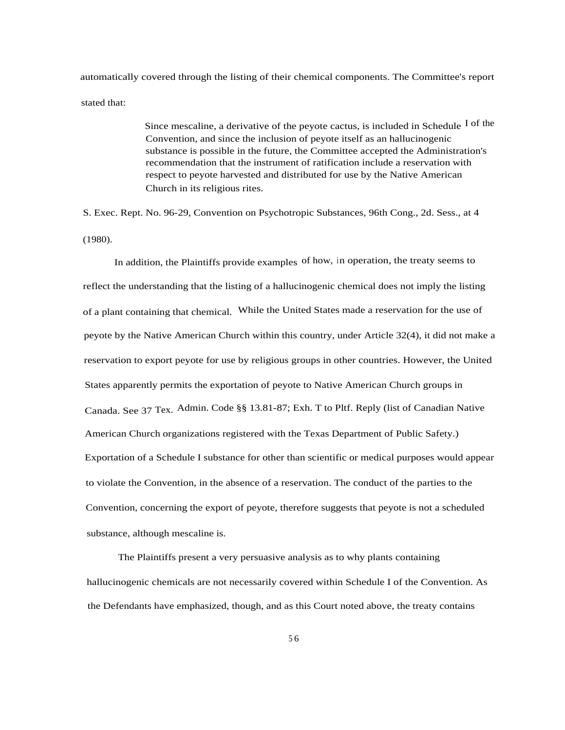automatically covered through the listing of their chemical components. The Committee's report stated that:

> Since mescaline, a derivative of the peyote cactus, is included in Schedule  $I$  of the Convention, and since the inclusion of peyote itself as an hallucinogenic substance is possible in the future, the Committee accepted the Administration's recommendation that the instrument of ratification include a reservation with respect to peyote harvested and distributed for use by the Native American Church in its religious rites.

S. Exec. Rept. No. 96-29, Convention on Psychotropic Substances, 96th Cong., 2d. Sess., at 4 (1980).

In addition, the Plaintiffs provide examples of how, in operation, the treaty seems to reflect the understanding that the listing of a hallucinogenic chemical does not imply the listing of a plant containing that chemical. While the United States made a reservation for the use of peyote by the Native American Church within this country, under Article 32(4), it did not make a reservation to export peyote for use by religious groups in other countries. However, the United States apparently permits the exportation of peyote to Native American Church groups in Canada. See 37 Tex. Admin. Code §§ 13.81-87; Exh. T to Pltf. Reply (list of Canadian Native American Church organizations registered with the Texas Department of Public Safety.) Exportation of a Schedule I substance for other than scientific or medical purposes would appear to violate the Convention, in the absence of a reservation. The conduct of the parties to the Convention, concerning the export of peyote, therefore suggests that peyote is not a scheduled substance, although mescaline is.

The Plaintiffs present a very persuasive analysis as to why plants containing hallucinogenic chemicals are not necessarily covered within Schedule I of the Convention. As the Defendants have emphasized, though, and as this Court noted above, the treaty contains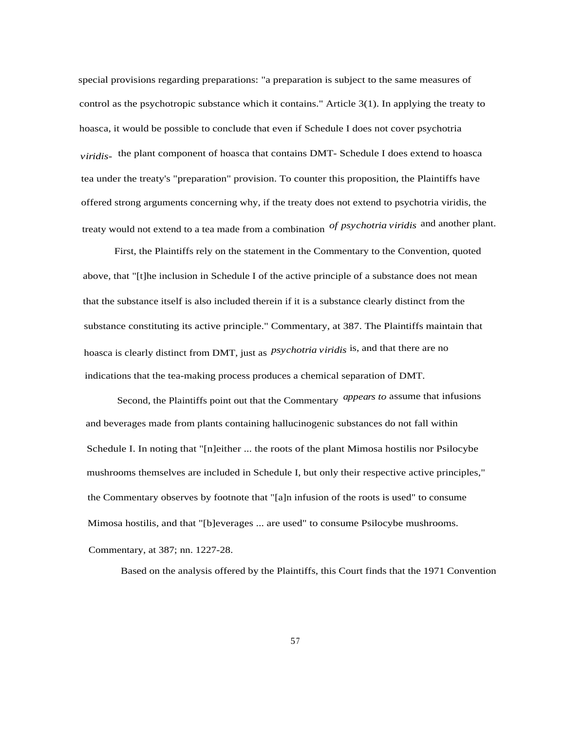special provisions regarding preparations: "a preparation is subject to the same measures of control as the psychotropic substance which it contains." Article 3(1). In applying the treaty to hoasca, it would be possible to conclude that even if Schedule I does not cover psychotria *viridis*- the plant component of hoasca that contains DMT- Schedule I does extend to hoasca tea under the treaty's "preparation" provision. To counter this proposition, the Plaintiffs have offered strong arguments concerning why, if the treaty does not extend to psychotria viridis, the treaty would not extend to a tea made from a combination *of psychotria viridis* and another plant.

First, the Plaintiffs rely on the statement in the Commentary to the Convention, quoted above, that "[t]he inclusion in Schedule I of the active principle of a substance does not mean that the substance itself is also included therein if it is a substance clearly distinct from the substance constituting its active principle." Commentary, at 387. The Plaintiffs maintain that hoasca is clearly distinct from DMT, just as *psychotria viridis* is, and that there are no indications that the tea-making process produces a chemical separation of DMT.

Second, the Plaintiffs point out that the Commentary *appears to* assume that infusions and beverages made from plants containing hallucinogenic substances do not fall within Schedule I. In noting that "[n]either ... the roots of the plant Mimosa hostilis nor Psilocybe mushrooms themselves are included in Schedule I, but only their respective active principles," the Commentary observes by footnote that "[a]n infusion of the roots is used" to consume Mimosa hostilis, and that "[b]everages ... are used" to consume Psilocybe mushrooms. Commentary, at 387; nn. 1227-28.

Based on the analysis offered by the Plaintiffs, this Court finds that the 1971 Convention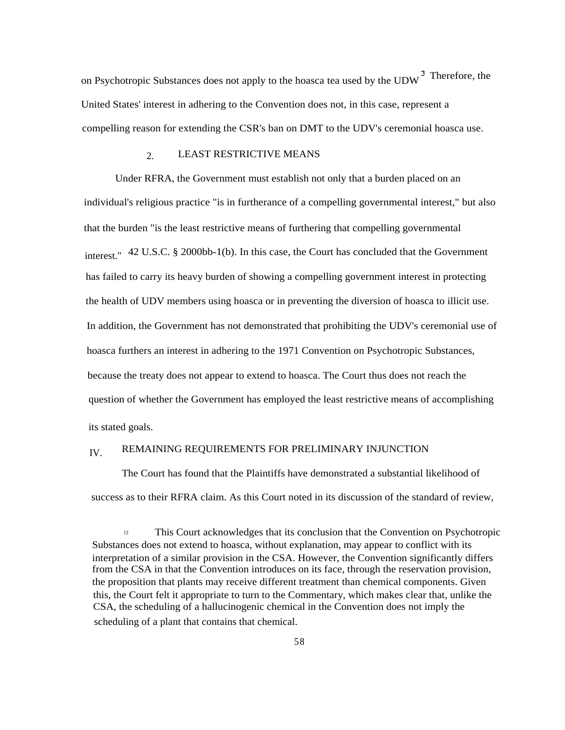on Psychotropic Substances does not apply to the hoasca tea used by the UDW<sup>3</sup> Therefore, the United States' interest in adhering to the Convention does not, in this case, represent a compelling reason for extending the CSR's ban on DMT to the UDV's ceremonial hoasca use.

# 2. LEAST RESTRICTIVE MEANS

Under RFRA, the Government must establish not only that a burden placed on an individual's religious practice "is in furtherance of a compelling governmental interest," but also that the burden "is the least restrictive means of furthering that compelling governmental interest." 42 U.S.C. § 2000bb-1(b). In this case, the Court has concluded that the Government has failed to carry its heavy burden of showing a compelling government interest in protecting the health of UDV members using hoasca or in preventing the diversion of hoasca to illicit use. In addition, the Government has not demonstrated that prohibiting the UDV's ceremonial use of hoasca furthers an interest in adhering to the 1971 Convention on Psychotropic Substances, because the treaty does not appear to extend to hoasca. The Court thus does not reach the question of whether the Government has employed the least restrictive means of accomplishing its stated goals.

# IV. REMAINING REQUIREMENTS FOR PRELIMINARY INJUNCTION

The Court has found that the Plaintiffs have demonstrated a substantial likelihood of success as to their RFRA claim. As this Court noted in its discussion of the standard of review,

<sup>13</sup> This Court acknowledges that its conclusion that the Convention on Psychotropic Substances does not extend to hoasca, without explanation, may appear to conflict with its interpretation of a similar provision in the CSA. However, the Convention significantly differs from the CSA in that the Convention introduces on its face, through the reservation provision, the proposition that plants may receive different treatment than chemical components. Given this, the Court felt it appropriate to turn to the Commentary, which makes clear that, unlike the CSA, the scheduling of a hallucinogenic chemical in the Convention does not imply the scheduling of a plant that contains that chemical.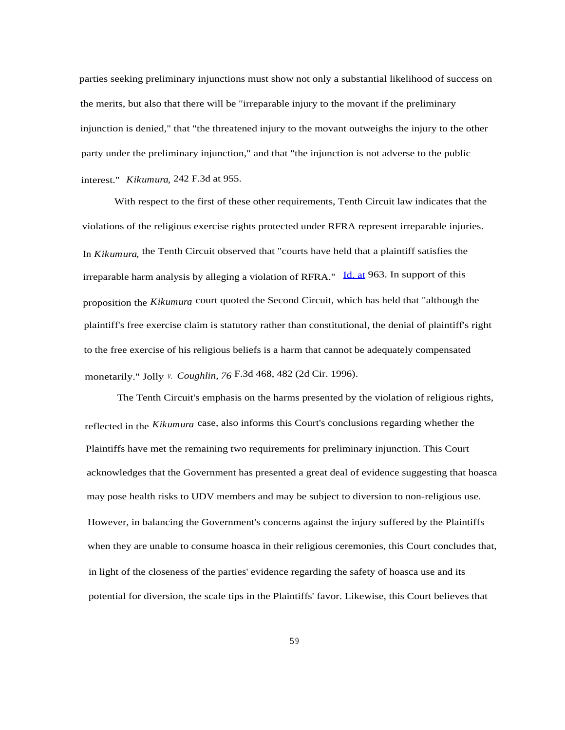parties seeking preliminary injunctions must show not only a substantial likelihood of success on the merits, but also that there will be "irreparable injury to the movant if the preliminary injunction is denied," that "the threatened injury to the movant outweighs the injury to the other party under the preliminary injunction," and that "the injunction is not adverse to the public interest." *Kikumura,* 242 F.3d at 955.

With respect to the first of these other requirements, Tenth Circuit law indicates that the violations of the religious exercise rights protected under RFRA represent irreparable injuries. In *Kikumura,* the Tenth Circuit observed that "courts have held that a plaintiff satisfies the irreparable harm analysis by alleging a violation of RFRA." [Id. at](http://Id.at) 963. In support of this proposition the *Kikumura* court quoted the Second Circuit, which has held that "although the plaintiff's free exercise claim is statutory rather than constitutional, the denial of plaintiff's right to the free exercise of his religious beliefs is a harm that cannot be adequately compensated monetarily." Jolly *v. Coughlin, 76* F.3d 468, 482 (2d Cir. 1996).

The Tenth Circuit's emphasis on the harms presented by the violation of religious rights, reflected in the *Kikumura* case, also informs this Court's conclusions regarding whether the Plaintiffs have met the remaining two requirements for preliminary injunction. This Court acknowledges that the Government has presented a great deal of evidence suggesting that hoasca may pose health risks to UDV members and may be subject to diversion to non-religious use. However, in balancing the Government's concerns against the injury suffered by the Plaintiffs when they are unable to consume hoasca in their religious ceremonies, this Court concludes that, in light of the closeness of the parties' evidence regarding the safety of hoasca use and its potential for diversion, the scale tips in the Plaintiffs' favor. Likewise, this Court believes that

59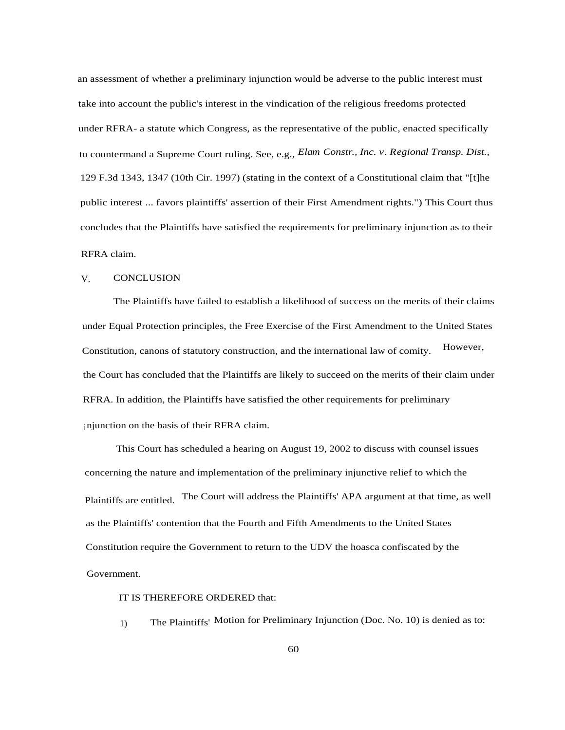an assessment of whether a preliminary injunction would be adverse to the public interest must take into account the public's interest in the vindication of the religious freedoms protected under RFRA- a statute which Congress, as the representative of the public, enacted specifically to countermand a Supreme Court ruling. See, e.g., *Elam Constr., Inc. v. Regional Transp. Dist.,* 129 F.3d 1343, 1347 (10th Cir. 1997) (stating in the context of a Constitutional claim that "[t]he public interest ... favors plaintiffs' assertion of their First Amendment rights.") This Court thus concludes that the Plaintiffs have satisfied the requirements for preliminary injunction as to their RFRA claim.

#### V. CONCLUSION

The Plaintiffs have failed to establish a likelihood of success on the merits of their claims under Equal Protection principles, the Free Exercise of the First Amendment to the United States Constitution, canons of statutory construction, and the international law of comity. However, the Court has concluded that the Plaintiffs are likely to succeed on the merits of their claim under RFRA. In addition, the Plaintiffs have satisfied the other requirements for preliminary injunction on the basis of their RFRA claim.

This Court has scheduled a hearing on August 19, 2002 to discuss with counsel issues concerning the nature and implementation of the preliminary injunctive relief to which the Plaintiffs are entitled. The Court will address the Plaintiffs' APA argument at that time, as well as the Plaintiffs' contention that the Fourth and Fifth Amendments to the United States Constitution require the Government to return to the UDV the hoasca confiscated by the Government.

#### IT IS THEREFORE ORDERED that:

1) The Plaintiffs' Motion for Preliminary Injunction (Doc. No. 10) is denied as to: